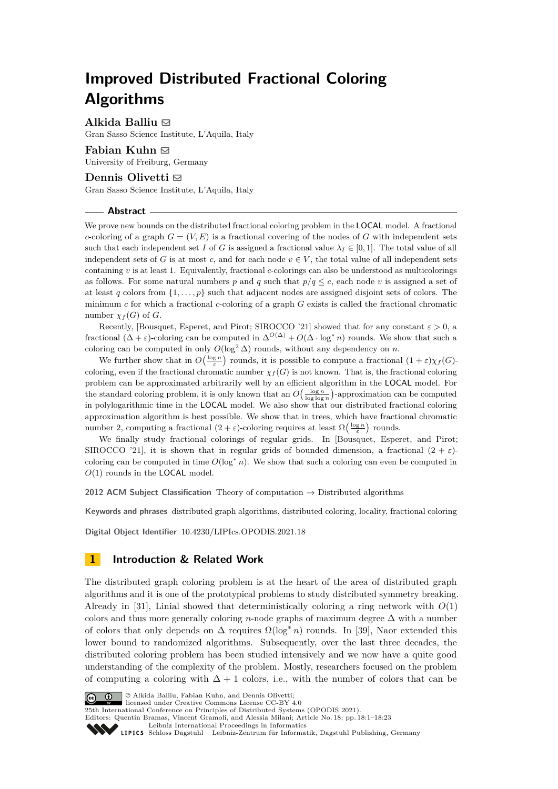# **Improved Distributed Fractional Coloring Algorithms**

**Alkida Balliu** [!](mailto:alkida.balliu@gssi.it) Gran Sasso Science Institute, L'Aquila, Italy

# **Fabian Kuhn** [!](mailto:kuhn@cs.uni-freiburg.de)

University of Freiburg, Germany

# **Dennis Olivetti** [!](mailto:dennis.olivetti@gssi.it)

Gran Sasso Science Institute, L'Aquila, Italy

### **Abstract**

We prove new bounds on the distributed fractional coloring problem in the LOCAL model. A fractional *c*-coloring of a graph  $G = (V, E)$  is a fractional covering of the nodes of *G* with independent sets such that each independent set *I* of *G* is assigned a fractional value  $\lambda_I \in [0,1]$ . The total value of all independent sets of *G* is at most *c*, and for each node  $v \in V$ , the total value of all independent sets containing *v* is at least 1. Equivalently, fractional *c*-colorings can also be understood as multicolorings as follows. For some natural numbers p and q such that  $p/q \leq c$ , each node v is assigned a set of at least q colors from  $\{1, \ldots, p\}$  such that adjacent nodes are assigned disjoint sets of colors. The minimum *c* for which a fractional *c*-coloring of a graph *G* exists is called the fractional chromatic number  $\chi_f(G)$  of *G*.

Recently, [Bousquet, Esperet, and Pirot; SIROCCO '21] showed that for any constant  $\varepsilon > 0$ , a fractional  $(\Delta + \varepsilon)$ -coloring can be computed in  $\Delta^{O(\Delta)} + O(\Delta \cdot \log^* n)$  rounds. We show that such a coloring can be computed in only  $O(\log^2 \Delta)$  rounds, without any dependency on *n*.

We further show that in  $O\left(\frac{\log n}{\varepsilon}\right)$  rounds, it is possible to compute a fractional  $(1+\varepsilon)\chi_f(G)$ coloring, even if the fractional chromatic number  $\chi_f(G)$  is not known. That is, the fractional coloring problem can be approximated arbitrarily well by an efficient algorithm in the LOCAL model. For the standard coloring problem, it is only known that an  $O(\frac{\log n}{\log \log n})$ -approximation can be computed in polylogarithmic time in the LOCAL model. We also show that our distributed fractional coloring approximation algorithm is best possible. We show that in trees, which have fractional chromatic number 2, computing a fractional  $(2 + \varepsilon)$ -coloring requires at least  $\Omega\left(\frac{\log n}{\varepsilon}\right)$  rounds.

We finally study fractional colorings of regular grids. In [Bousquet, Esperet, and Pirot; SIROCCO '21], it is shown that in regular grids of bounded dimension, a fractional  $(2 + \varepsilon)$ coloring can be computed in time  $O(\log^* n)$ . We show that such a coloring can even be computed in *O*(1) rounds in the LOCAL model.

**2012 ACM Subject Classification** Theory of computation → Distributed algorithms

**Keywords and phrases** distributed graph algorithms, distributed coloring, locality, fractional coloring

**Digital Object Identifier** [10.4230/LIPIcs.OPODIS.2021.18](https://doi.org/10.4230/LIPIcs.OPODIS.2021.18)

# **1 Introduction & Related Work**

The distributed graph coloring problem is at the heart of the area of distributed graph algorithms and it is one of the prototypical problems to study distributed symmetry breaking. Already in [\[31\]](#page-17-0), Linial showed that deterministically coloring a ring network with *O*(1) colors and thus more generally coloring *n*-node graphs of maximum degree  $\Delta$  with a number of colors that only depends on  $\Delta$  requires  $\Omega(\log^* n)$  rounds. In [\[39\]](#page-17-1), Naor extended this lower bound to randomized algorithms. Subsequently, over the last three decades, the distributed coloring problem has been studied intensively and we now have a quite good understanding of the complexity of the problem. Mostly, researchers focused on the problem of computing a coloring with  $\Delta + 1$  colors, i.e., with the number of colors that can be



© Alkida Balliu, Fabian Kuhn, and Dennis Olivetti;

licensed under Creative Commons License CC-BY 4.0

25th International Conference on Principles of Distributed Systems (OPODIS 2021). Editors: Quentin Bramas, Vincent Gramoli, and Alessia Milani; Article No. 18; pp. 18:1–18:23

[Leibniz International Proceedings in Informatics](https://www.dagstuhl.de/lipics/)

SCHLOSS Dagstuhl – Leibniz-Zentrum für Informatik, Dagstuhl Publishing, Germany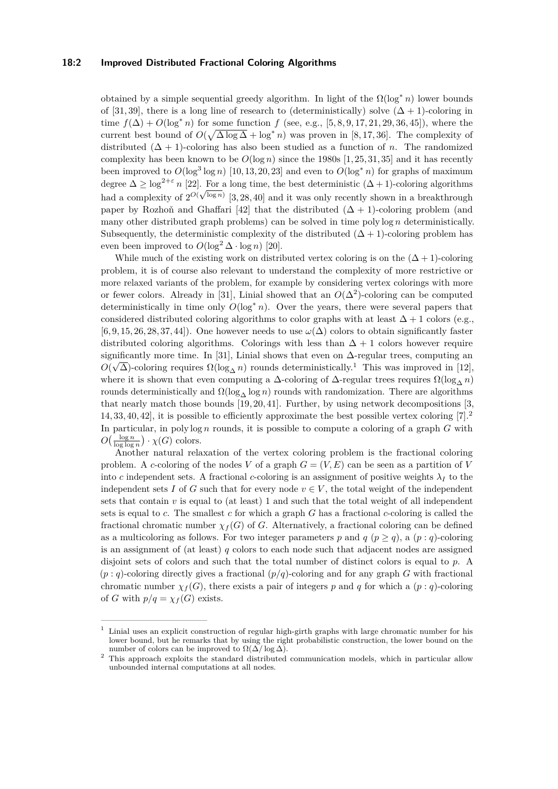### **18:2 Improved Distributed Fractional Coloring Algorithms**

obtained by a simple sequential greedy algorithm. In light of the  $\Omega(\log^* n)$  lower bounds of [\[31,](#page-17-0) [39\]](#page-17-1), there is a long line of research to (deterministically) solve  $(\Delta + 1)$ -coloring in time  $f(\Delta) + O(\log^* n)$  for some function *f* (see, e.g., [\[5,](#page-16-0) [8,](#page-16-1) [9,](#page-16-2) [17,](#page-16-3) [21,](#page-17-2) [29,](#page-17-3) [36,](#page-17-4) [45\]](#page-18-0)), where the current best bound of  $O(\sqrt{\Delta \log \Delta} + \log^* n)$  was proven in [\[8,](#page-16-1)17,36]. The complexity of distributed  $(\Delta + 1)$ -coloring has also been studied as a function of *n*. The randomized complexity has been known to be  $O(\log n)$  since the 1980s [\[1,](#page-16-4) [25,](#page-17-5) [31,](#page-17-0) [35\]](#page-17-6) and it has recently been improved to  $O(\log^3 \log n)$  [\[10,](#page-16-5) [13,](#page-16-6) [20,](#page-16-7) [23\]](#page-17-7) and even to  $O(\log^* n)$  for graphs of maximum degree  $\Delta \geq \log^{2+\varepsilon} n$  [\[22\]](#page-17-8). For a long time, the best deterministic  $(\Delta + 1)$ -coloring algorithms had a complexity of  $2^{O(\sqrt{\log n})}$  [\[3,](#page-16-8) [28,](#page-17-9) [40\]](#page-17-10) and it was only recently shown in a breakthrough paper by Rozhoň and Ghaffari [\[42\]](#page-17-11) that the distributed  $(\Delta + 1)$ -coloring problem (and many other distributed graph problems) can be solved in time poly log *n* deterministically. Subsequently, the deterministic complexity of the distributed  $(\Delta + 1)$ -coloring problem has even been improved to  $O(\log^2 \Delta \cdot \log n)$  [\[20\]](#page-16-7).

While much of the existing work on distributed vertex coloring is on the  $(\Delta + 1)$ -coloring problem, it is of course also relevant to understand the complexity of more restrictive or more relaxed variants of the problem, for example by considering vertex colorings with more or fewer colors. Already in [\[31\]](#page-17-0), Linial showed that an  $O(\Delta^2)$ -coloring can be computed deterministically in time only  $O(\log^* n)$ . Over the years, there were several papers that considered distributed coloring algorithms to color graphs with at least  $\Delta + 1$  colors (e.g.,  $[6, 9, 15, 26, 28, 37, 44]$  $[6, 9, 15, 26, 28, 37, 44]$  $[6, 9, 15, 26, 28, 37, 44]$  $[6, 9, 15, 26, 28, 37, 44]$  $[6, 9, 15, 26, 28, 37, 44]$  $[6, 9, 15, 26, 28, 37, 44]$  $[6, 9, 15, 26, 28, 37, 44]$ . One however needs to use  $\omega(\Delta)$  colors to obtain significantly faster distributed coloring algorithms. Colorings with less than  $\Delta + 1$  colors however require significantly more time. In [\[31\]](#page-17-0), Linial shows that even on  $\Delta$ -regular trees, computing an  $O(\sqrt{\Delta})$ -coloring requires  $\Omega(\log_{\Delta} n)$  rounds deterministically.<sup>[1](#page-1-0)</sup> This was improved in [\[12\]](#page-16-11), where it is shown that even computing a  $\Delta$ -coloring of  $\Delta$ -regular trees requires  $\Omega(\log_{\Delta} n)$ rounds deterministically and  $Ω(log<sub>Λ</sub> log n)$  rounds with randomization. There are algorithms that nearly match those bounds [\[19,](#page-16-12) [20,](#page-16-7) [41\]](#page-17-14). Further, by using network decompositions [\[3,](#page-16-8) [14,](#page-16-13) [33,](#page-17-15) [40,](#page-17-10) [42\]](#page-17-11), it is possible to efficiently approximate the best possible vertex coloring [\[7\]](#page-16-14).[2](#page-1-1) In particular, in poly log *n* rounds, it is possible to compute a coloring of a graph *G* with  $O\left(\frac{\log n}{\log \log n}\right) \cdot \chi(G)$  colors.

Another natural relaxation of the vertex coloring problem is the fractional coloring problem. A *c*-coloring of the nodes *V* of a graph  $G = (V, E)$  can be seen as a partition of *V* into *c* independent sets. A fractional *c*-coloring is an assignment of positive weights  $\lambda_I$  to the independent sets *I* of *G* such that for every node  $v \in V$ , the total weight of the independent sets that contain  $v$  is equal to (at least) 1 and such that the total weight of all independent sets is equal to *c*. The smallest *c* for which a graph *G* has a fractional *c*-coloring is called the fractional chromatic number  $\chi_f(G)$  of *G*. Alternatively, a fractional coloring can be defined as a multicoloring as follows. For two integer parameters p and  $q$  ( $p \geq q$ ), a ( $p : q$ )-coloring is an assignment of (at least) *q* colors to each node such that adjacent nodes are assigned disjoint sets of colors and such that the total number of distinct colors is equal to *p*. A  $(p: q)$ -coloring directly gives a fractional  $(p/q)$ -coloring and for any graph *G* with fractional chromatic number  $\chi_f(G)$ , there exists a pair of integers *p* and *q* for which a (*p* : *q*)-coloring of *G* with  $p/q = \chi_f(G)$  exists.

<span id="page-1-0"></span><sup>1</sup> Linial uses an explicit construction of regular high-girth graphs with large chromatic number for his lower bound, but he remarks that by using the right probabilistic construction, the lower bound on the number of colors can be improved to  $\Omega(\Delta/\log \Delta)$ .

<span id="page-1-1"></span><sup>&</sup>lt;sup>2</sup> This approach exploits the standard distributed communication models, which in particular allow unbounded internal computations at all nodes.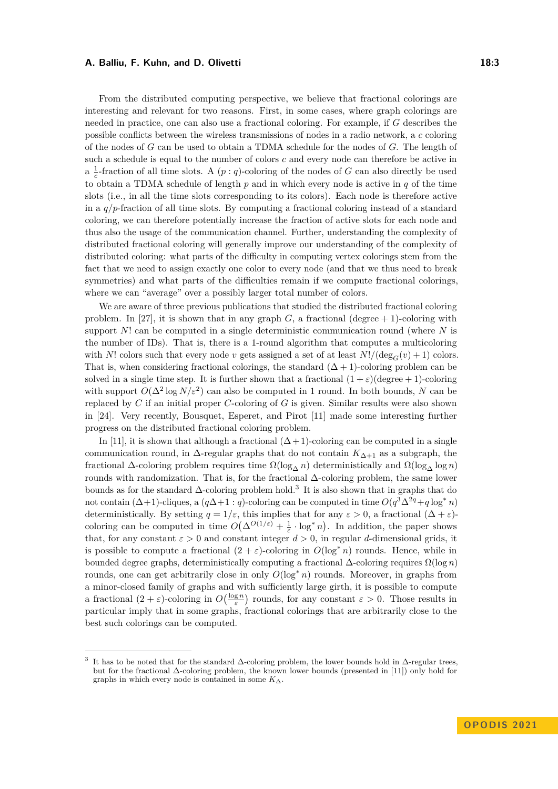From the distributed computing perspective, we believe that fractional colorings are interesting and relevant for two reasons. First, in some cases, where graph colorings are needed in practice, one can also use a fractional coloring. For example, if *G* describes the possible conflicts between the wireless transmissions of nodes in a radio network, a *c* coloring of the nodes of *G* can be used to obtain a TDMA schedule for the nodes of *G*. The length of such a schedule is equal to the number of colors *c* and every node can therefore be active in a  $\frac{1}{c}$ -fraction of all time slots. A  $(p: q)$ -coloring of the nodes of *G* can also directly be used to obtain a TDMA schedule of length *p* and in which every node is active in *q* of the time slots (i.e., in all the time slots corresponding to its colors). Each node is therefore active in a *q/p*-fraction of all time slots. By computing a fractional coloring instead of a standard coloring, we can therefore potentially increase the fraction of active slots for each node and thus also the usage of the communication channel. Further, understanding the complexity of distributed fractional coloring will generally improve our understanding of the complexity of distributed coloring: what parts of the difficulty in computing vertex colorings stem from the fact that we need to assign exactly one color to every node (and that we thus need to break symmetries) and what parts of the difficulties remain if we compute fractional colorings, where we can "average" over a possibly larger total number of colors.

We are aware of three previous publications that studied the distributed fractional coloring problem. In [\[27\]](#page-17-16), it is shown that in any graph  $G$ , a fractional (degree  $+ 1$ )-coloring with support *N*! can be computed in a single deterministic communication round (where *N* is the number of IDs). That is, there is a 1-round algorithm that computes a multicoloring with *N*! colors such that every node *v* gets assigned a set of at least  $N!/(deg_G(v) + 1)$  colors. That is, when considering fractional colorings, the standard  $(\Delta + 1)$ -coloring problem can be solved in a single time step. It is further shown that a fractional  $(1 + \varepsilon)(degree + 1)$ -coloring with support  $O(\Delta^2 \log N/\varepsilon^2)$  can also be computed in 1 round. In both bounds, *N* can be replaced by *C* if an initial proper *C*-coloring of *G* is given. Similar results were also shown in [\[24\]](#page-17-17). Very recently, Bousquet, Esperet, and Pirot [\[11\]](#page-16-15) made some interesting further progress on the distributed fractional coloring problem.

In [\[11\]](#page-16-15), it is shown that although a fractional  $(\Delta + 1)$ -coloring can be computed in a single communication round, in  $\Delta$ -regular graphs that do not contain  $K_{\Delta+1}$  as a subgraph, the fractional  $\Delta$ -coloring problem requires time  $\Omega(\log_{\Delta} n)$  deterministically and  $\Omega(\log_{\Delta} \log n)$ rounds with randomization. That is, for the fractional  $\Delta$ -coloring problem, the same lower bounds as for the standard ∆-coloring problem hold.[3](#page-2-0) It is also shown that in graphs that do not contain  $(\Delta+1)$ -cliques, a  $(q\Delta+1:q)$ -coloring can be computed in time  $O(q^3\Delta^{2q}+q\log^* n)$ deterministically. By setting  $q = 1/\varepsilon$ , this implies that for any  $\varepsilon > 0$ , a fractional  $(\Delta + \varepsilon)$ coloring can be computed in time  $O(\Delta^{O(1/\varepsilon)} + \frac{1}{\varepsilon} \cdot \log^* n)$ . In addition, the paper shows that, for any constant  $\varepsilon > 0$  and constant integer  $d > 0$ , in regular *d*-dimensional grids, it is possible to compute a fractional  $(2 + \varepsilon)$ -coloring in  $O(\log^* n)$  rounds. Hence, while in bounded degree graphs, deterministically computing a fractional  $\Delta$ -coloring requires  $\Omega(\log n)$ rounds, one can get arbitrarily close in only *O*(log<sup>∗</sup> *n*) rounds. Moreover, in graphs from a minor-closed family of graphs and with sufficiently large girth, it is possible to compute a fractional  $(2 + \varepsilon)$ -coloring in  $O(\frac{\log n}{\varepsilon})$  rounds, for any constant  $\varepsilon > 0$ . Those results in particular imply that in some graphs, fractional colorings that are arbitrarily close to the best such colorings can be computed.

<span id="page-2-0"></span><sup>3</sup> It has to be noted that for the standard ∆-coloring problem, the lower bounds hold in ∆-regular trees, but for the fractional ∆-coloring problem, the known lower bounds (presented in [\[11\]](#page-16-15)) only hold for graphs in which every node is contained in some *K*∆.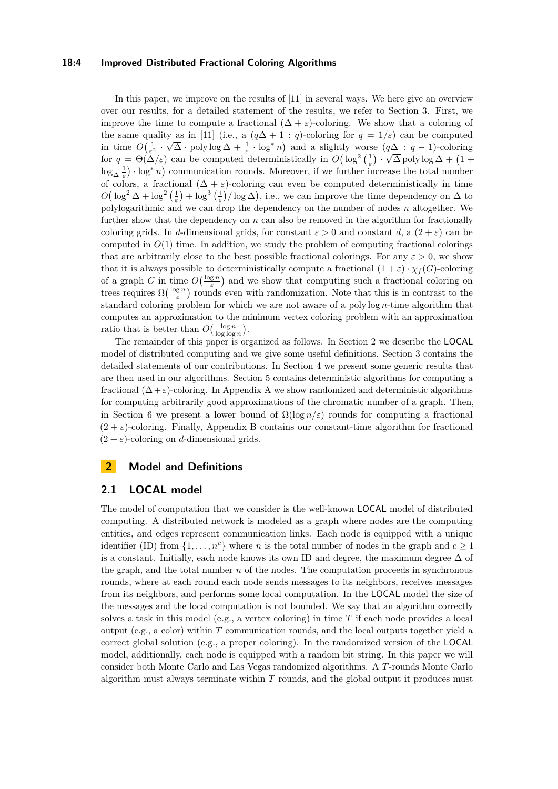### **18:4 Improved Distributed Fractional Coloring Algorithms**

In this paper, we improve on the results of [\[11\]](#page-16-15) in several ways. We here give an overview over our results, for a detailed statement of the results, we refer to Section [3.](#page-5-0) First, we improve the time to compute a fractional  $(\Delta + \varepsilon)$ -coloring. We show that a coloring of the same quality as in [\[11\]](#page-16-15) (i.e., a  $(q\Delta + 1 : q)$ -coloring for  $q = 1/\varepsilon$ ) can be computed in time  $O\left(\frac{1}{\varepsilon^2} \cdot \sqrt{\Delta} \cdot \text{poly}\log \Delta + \frac{1}{\varepsilon} \cdot \log^* n\right)$  and a slightly worse  $(q\Delta : q-1)$ -coloring for  $q = \Theta(\Delta/\varepsilon)$  can be computed deterministically in  $O\left(\log^2\left(\frac{1}{\varepsilon}\right) \cdot \sqrt{\Delta} \text{ poly}\log \Delta + \left(1 + \frac{1}{\varepsilon}\right)\right)$  $\log_{\Delta} \frac{1}{\varepsilon}$  ·  $\log^* n$  communication rounds. Moreover, if we further increase the total number of colors, a fractional  $(\Delta + \varepsilon)$ -coloring can even be computed deterministically in time  $O(\log^2 \Delta + \log^2(\frac{1}{\varepsilon}) + \log^3(\frac{1}{\varepsilon})/\log \Delta)$ , i.e., we can improve the time dependency on  $\Delta$  to polylogarithmic and we can drop the dependency on the number of nodes *n* altogether. We further show that the dependency on *n* can also be removed in the algorithm for fractionally coloring grids. In *d*-dimensional grids, for constant  $\varepsilon > 0$  and constant *d*, a  $(2 + \varepsilon)$  can be computed in  $O(1)$  time. In addition, we study the problem of computing fractional colorings that are arbitrarily close to the best possible fractional colorings. For any  $\varepsilon > 0$ , we show that it is always possible to deterministically compute a fractional  $(1 + \varepsilon) \cdot \chi_f(G)$ -coloring of a graph *G* in time  $O(\frac{\log n}{\varepsilon})$  and we show that computing such a fractional coloring on trees requires  $\Omega(\frac{\log n}{\varepsilon})$  rounds even with randomization. Note that this is in contrast to the standard coloring problem for which we are not aware of a poly log *n*-time algorithm that computes an approximation to the minimum vertex coloring problem with an approximation ratio that is better than  $O\left(\frac{\log n}{\log \log n}\right)$ .

The remainder of this paper is organized as follows. In Section [2](#page-3-0) we describe the LOCAL model of distributed computing and we give some useful definitions. Section [3](#page-5-0) contains the detailed statements of our contributions. In Section [4](#page-7-0) we present some generic results that are then used in our algorithms. Section [5](#page-9-0) contains deterministic algorithms for computing a fractional  $(\Delta + \varepsilon)$ -coloring. In [A](#page-18-2)ppendix A we show randomized and deterministic algorithms for computing arbitrarily good approximations of the chromatic number of a graph. Then, in Section [6](#page-14-0) we present a lower bound of  $\Omega(\log n/\varepsilon)$  rounds for computing a fractional  $(2 + \varepsilon)$ -coloring. Finally, Appendix [B](#page-21-0) contains our constant-time algorithm for fractional  $(2 + \varepsilon)$ -coloring on *d*-dimensional grids.

# <span id="page-3-0"></span>**2 Model and Definitions**

### **2.1 LOCAL model**

The model of computation that we consider is the well-known LOCAL model of distributed computing. A distributed network is modeled as a graph where nodes are the computing entities, and edges represent communication links. Each node is equipped with a unique identifier (ID) from  $\{1, \ldots, n^c\}$  where *n* is the total number of nodes in the graph and  $c \ge 1$ is a constant. Initially, each node knows its own ID and degree, the maximum degree  $\Delta$  of the graph, and the total number *n* of the nodes. The computation proceeds in synchronous rounds, where at each round each node sends messages to its neighbors, receives messages from its neighbors, and performs some local computation. In the LOCAL model the size of the messages and the local computation is not bounded. We say that an algorithm correctly solves a task in this model (e.g., a vertex coloring) in time *T* if each node provides a local output (e.g., a color) within *T* communication rounds, and the local outputs together yield a correct global solution (e.g., a proper coloring). In the randomized version of the LOCAL model, additionally, each node is equipped with a random bit string. In this paper we will consider both Monte Carlo and Las Vegas randomized algorithms. A *T*-rounds Monte Carlo algorithm must always terminate within *T* rounds, and the global output it produces must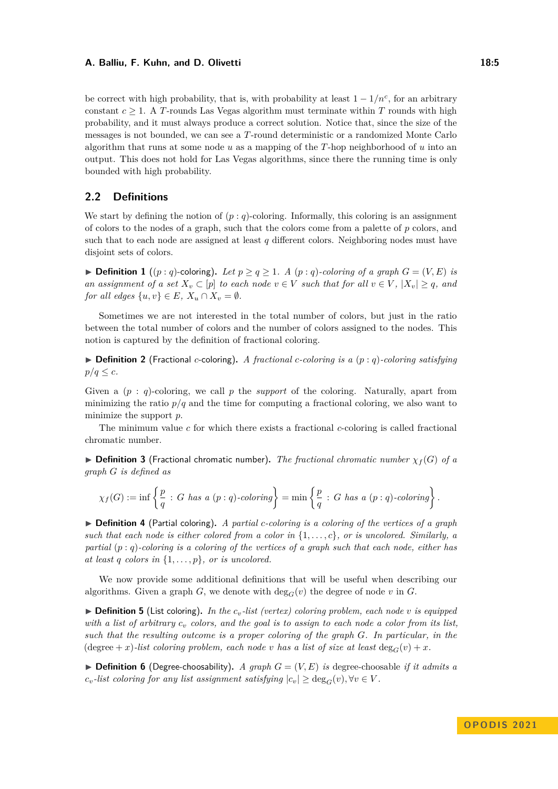be correct with high probability, that is, with probability at least  $1 - 1/n^c$ , for an arbitrary constant  $c \geq 1$ . A *T*-rounds Las Vegas algorithm must terminate within *T* rounds with high probability, and it must always produce a correct solution. Notice that, since the size of the messages is not bounded, we can see a *T*-round deterministic or a randomized Monte Carlo algorithm that runs at some node *u* as a mapping of the *T*-hop neighborhood of *u* into an output. This does not hold for Las Vegas algorithms, since there the running time is only bounded with high probability.

# **2.2 Definitions**

We start by defining the notion of  $(p:q)$ -coloring. Informally, this coloring is an assignment of colors to the nodes of a graph, such that the colors come from a palette of *p* colors, and such that to each node are assigned at least *q* different colors. Neighboring nodes must have disjoint sets of colors.

▶ **Definition 1** ((*p* : *q*)-coloring). Let  $p > q > 1$ . A (*p* : *q*)-coloring of a graph  $G = (V, E)$  is *an assignment of a set*  $X_v \subset [p]$  *to each node*  $v \in V$  *such that for all*  $v \in V$ ,  $|X_v| \geq q$ *, and for all edges*  $\{u, v\} \in E$ *,*  $X_u \cap X_v = \emptyset$ *.* 

Sometimes we are not interested in the total number of colors, but just in the ratio between the total number of colors and the number of colors assigned to the nodes. This notion is captured by the definition of fractional coloring.

▶ **Definition 2** (Fractional *c*-coloring)**.** *A fractional c-coloring is a* (*p* : *q*)*-coloring satisfying*  $p/q \leq c$ .

Given a (*p* : *q*)-coloring, we call *p* the *support* of the coloring. Naturally, apart from minimizing the ratio  $p/q$  and the time for computing a fractional coloring, we also want to minimize the support *p*.

The minimum value *c* for which there exists a fractional *c*-coloring is called fractional chromatic number.

 $\triangleright$  **Definition 3** (Fractional chromatic number). The fractional chromatic number  $\chi_f(G)$  of a *graph G is defined as*

$$
\chi_f(G) := \inf \left\{ \frac{p}{q} \, : \, G \text{ has a } (p:q)\text{-coloring} \right\} = \min \left\{ \frac{p}{q} \, : \, G \text{ has a } (p:q)\text{-coloring} \right\}.
$$

<span id="page-4-0"></span>▶ **Definition 4** (Partial coloring)**.** *A partial c-coloring is a coloring of the vertices of a graph such that each node is either colored from a color in* {1*, . . . , c*}*, or is uncolored. Similarly, a partial* (*p* : *q*)*-coloring is a coloring of the vertices of a graph such that each node, either has at least q colors* in  $\{1, \ldots, p\}$ *, or is uncolored.* 

We now provide some additional definitions that will be useful when describing our algorithms. Given a graph *G*, we denote with  $\deg_G(v)$  the degree of node *v* in *G*.

 $\triangleright$  **Definition 5** (List coloring). In the  $c_v$ -list (vertex) coloring problem, each node v is equipped *with a list of arbitrary c<sup>v</sup> colors, and the goal is to assign to each node a color from its list, such that the resulting outcome is a proper coloring of the graph G. In particular, in the* (degree + *x*)*-list coloring problem, each node v has a list of size at least* deg<sub>*G*</sub>(*v*) + *x.* 

 $\triangleright$  **Definition 6** (Degree-choosability). A graph  $G = (V, E)$  is degree-choosable *if it admits a*  $c_v$ -list coloring for any list assignment satisfying  $|c_v| \ge \deg_G(v)$ ,  $\forall v \in V$ .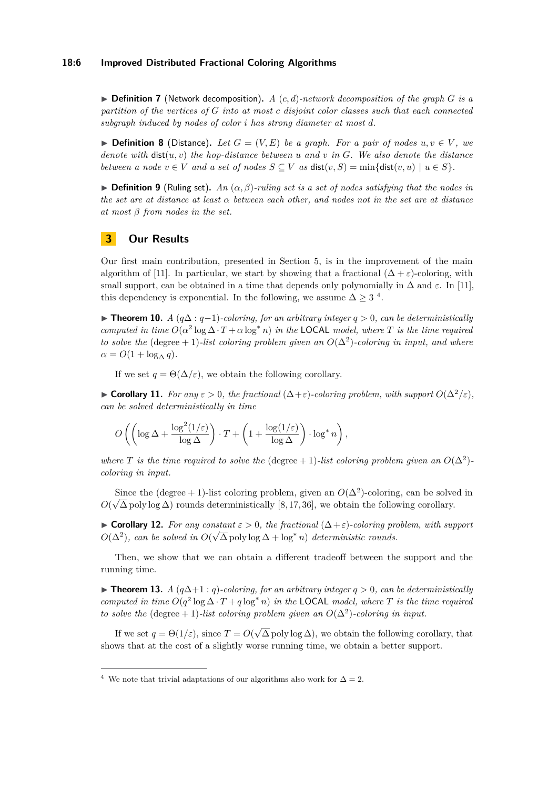### **18:6 Improved Distributed Fractional Coloring Algorithms**

 $\triangleright$  **Definition 7** (Network decomposition). A (*c, d*)-network decomposition of the graph *G* is a *partition of the vertices of G into at most c disjoint color classes such that each connected subgraph induced by nodes of color i has strong diameter at most d.*

▶ **Definition 8** (Distance). Let  $G = (V, E)$  be a graph. For a pair of nodes  $u, v \in V$ , we *denote with*  $dist(u, v)$  *the hop-distance between u and v in G. We also denote the distance between a node*  $v \in V$  *and a set of nodes*  $S \subseteq V$  *as* dist $(v, S) = \min\{\text{dist}(v, u) \mid u \in S\}.$ 

 $\triangleright$  **Definition 9** (Ruling set). *An*  $(\alpha, \beta)$ -ruling set is a set of nodes satisfying that the nodes in *the set are at distance at least α between each other, and nodes not in the set are at distance at most β from nodes in the set.*

# <span id="page-5-0"></span>**3 Our Results**

Our first main contribution, presented in Section [5,](#page-9-0) is in the improvement of the main algorithm of [\[11\]](#page-16-15). In particular, we start by showing that a fractional  $(\Delta + \varepsilon)$ -coloring, with small support, can be obtained in a time that depends only polynomially in  $\Delta$  and  $\varepsilon$ . In [\[11\]](#page-16-15), this dependency is exponential. In the following, we assume  $\Delta \geq 3^{4}$  $\Delta \geq 3^{4}$  $\Delta \geq 3^{4}$ .

<span id="page-5-2"></span>▶ **Theorem 10.** *A* ( $q\Delta$  :  $q-1$ )*-coloring, for an arbitrary integer*  $q > 0$ *, can be deterministically computed in time*  $O(\alpha^2 \log \Delta \cdot T + \alpha \log^* n)$  *in the* LOCAL *model, where T is the time required to solve the* (degree + 1)*-list coloring problem given an*  $O(\Delta^2)$ *-coloring in input, and where*  $\alpha = O(1 + \log_{\Lambda} q)$ .

If we set  $q = \Theta(\Delta/\varepsilon)$ , we obtain the following corollary.

▶ **Corollary 11.** *For any*  $ε > 0$ *, the fractional*  $(Δ+ε)$ *-coloring problem, with support*  $O(Δ<sup>2</sup>/ε)$ *, can be solved deterministically in time*

$$
O\left(\left(\log \Delta + \frac{\log^2(1/\varepsilon)}{\log \Delta}\right)\cdot T + \left(1 + \frac{\log(1/\varepsilon)}{\log \Delta}\right)\cdot \log^* n\right),
$$

*where T* is the time required to solve the (degree + 1)*-list coloring problem given an*  $O(\Delta^2)$ *coloring in input.*

Since the (degree + 1)-list coloring problem, given an  $O(\Delta^2)$ -coloring, can be solved in  $O(\sqrt{\Delta} \text{ poly} \log \Delta)$  rounds deterministically [\[8,](#page-16-1) [17,](#page-16-3) [36\]](#page-17-4), we obtain the following corollary.

**► Corollary 12.** For any constant  $\epsilon > 0$ , the fractional  $(\Delta + \epsilon)$ -coloring problem, with support  $O(\Delta^2)$ , can be solved in  $O(\sqrt{\Delta} \text{ poly} \log \Delta + \log^* n)$  deterministic rounds.

Then, we show that we can obtain a different tradeoff between the support and the running time.

▶ **Theorem 13.** *A* (*q*∆+1 : *q*)*-coloring, for an arbitrary integer q >* 0*, can be deterministically computed in time*  $O(q^2 \log \Delta \cdot T + q \log^* n)$  *in the* **LOCAL** *model, where T is the time required to solve the* (degree + 1)*-list coloring problem given an*  $O(\Delta^2)$ *-coloring in input.* 

If we set  $q = \Theta(1/\varepsilon)$ , since  $T = O(\varepsilon)$ √  $\Delta$  poly log  $\Delta$ ), we obtain the following corollary, that shows that at the cost of a slightly worse running time, we obtain a better support.

<span id="page-5-1"></span><sup>&</sup>lt;sup>4</sup> We note that trivial adaptations of our algorithms also work for  $\Delta = 2$ .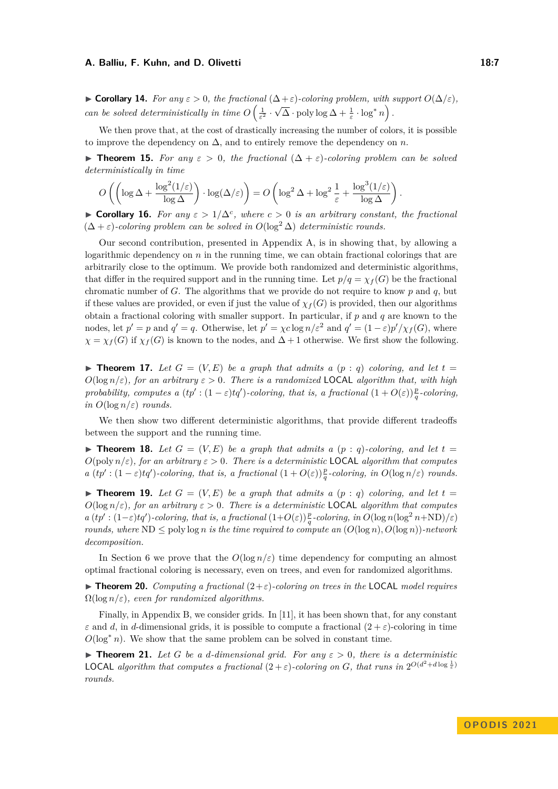**► Corollary 14.** For any  $\varepsilon > 0$ , the fractional  $(\Delta + \varepsilon)$ -coloring problem, with support  $O(\Delta/\varepsilon)$ , *can be solved deterministically in time*  $O\left(\frac{1}{\varepsilon^2}\right)$ .  $\sqrt{\Delta} \cdot \text{poly}\log \Delta + \frac{1}{\varepsilon} \cdot \log^* n$ .

We then prove that, at the cost of drastically increasing the number of colors, it is possible to improve the dependency on  $\Delta$ , and to entirely remove the dependency on *n*.

<span id="page-6-0"></span>**► Theorem 15.** For any  $\varepsilon > 0$ , the fractional  $(\Delta + \varepsilon)$ -coloring problem can be solved *deterministically in time*

$$
O\left(\left(\log \Delta + \frac{\log^2(1/\varepsilon)}{\log \Delta}\right) \cdot \log(\Delta/\varepsilon)\right) = O\left(\log^2 \Delta + \log^2 \frac{1}{\varepsilon} + \frac{\log^3(1/\varepsilon)}{\log \Delta}\right).
$$

▶ **Corollary 16.** For any  $\varepsilon > 1/\Delta^c$ , where  $c > 0$  is an arbitrary constant, the fractional  $(\Delta + \varepsilon)$ -coloring problem can be solved in  $O(\log^2 \Delta)$  deterministic rounds.

Our second contribution, presented in Appendix [A,](#page-18-2) is in showing that, by allowing a logarithmic dependency on  $n$  in the running time, we can obtain fractional colorings that are arbitrarily close to the optimum. We provide both randomized and deterministic algorithms, that differ in the required support and in the running time. Let  $p/q = \chi_f(G)$  be the fractional chromatic number of *G*. The algorithms that we provide do not require to know *p* and *q*, but if these values are provided, or even if just the value of  $\chi_f(G)$  is provided, then our algorithms obtain a fractional coloring with smaller support. In particular, if *p* and *q* are known to the nodes, let  $p' = p$  and  $q' = q$ . Otherwise, let  $p' = \chi c \log n / \varepsilon^2$  and  $q' = (1 - \varepsilon)p'/\chi_f(G)$ , where  $\chi = \chi_f(G)$  if  $\chi_f(G)$  is known to the nodes, and  $\Delta + 1$  otherwise. We first show the following.

<span id="page-6-1"></span> $\blacktriangleright$  **Theorem 17.** Let  $G = (V, E)$  be a graph that admits a  $(p : q)$  coloring, and let  $t =$  $O(\log n/\varepsilon)$ , for an arbitrary  $\varepsilon > 0$ . There is a randomized **LOCAL** algorithm that, with high *probability, computes a*  $(tp': (1-\varepsilon)tq')$ *-coloring, that is, a fractional*  $(1+O(\varepsilon))\frac{p}{q}$ -coloring, *in*  $O(\log n/\varepsilon)$  *rounds.* 

We then show two different deterministic algorithms, that provide different tradeoffs between the support and the running time.

 $\blacktriangleright$  **Theorem 18.** Let  $G = (V, E)$  be a graph that admits a  $(p : q)$ -coloring, and let  $t =$  $O(poly n/\varepsilon)$ *, for an arbitrary*  $\varepsilon > 0$ *. There is a deterministic* **LOCAL** *algorithm that computes a*  $(tp': (1-\varepsilon)tq')$ -coloring, that is, a fractional  $(1+O(\varepsilon))\frac{p}{q}$ -coloring, in  $O(\log n/\varepsilon)$  rounds.

 $\blacktriangleright$  **Theorem 19.** Let  $G = (V, E)$  be a graph that admits a  $(p : q)$  coloring, and let  $t =$  $O(\log n/\varepsilon)$ , for an arbitrary  $\varepsilon > 0$ . There is a deterministic **LOCAL** algorithm that computes  $a (tp': (1-\varepsilon)tq')$ -coloring, that is, a fractional  $(1+O(\varepsilon))\frac{p}{q}$ -coloring, in  $O(\log n(\log^2 n + ND)/\varepsilon)$ *rounds, where*  $ND \leq$  poly log *n is the time required to compute an*  $(O(\log n), O(\log n))$ -network *decomposition.*

In Section [6](#page-14-0) we prove that the  $O(\log n/\varepsilon)$  time dependency for computing an almost optimal fractional coloring is necessary, even on trees, and even for randomized algorithms.

▶ **Theorem 20.** *Computing a fractional* (2+*ε*)*-coloring on trees in the* LOCAL *model requires*  $\Omega(\log n/\varepsilon)$ , even for randomized algorithms.

Finally, in Appendix [B,](#page-21-0) we consider grids. In [\[11\]](#page-16-15), it has been shown that, for any constant *ε* and *d*, in *d*-dimensional grids, it is possible to compute a fractional  $(2 + \varepsilon)$ -coloring in time  $O(\log^* n)$ . We show that the same problem can be solved in constant time.

 $\blacktriangleright$  **Theorem 21.** Let G be a d-dimensional grid. For any  $\varepsilon > 0$ , there is a deterministic **LOCAL** algorithm that computes a fractional  $(2 + \varepsilon)$ -coloring on *G*, that runs in  $2^{O(d^2 + d \log \frac{1}{\varepsilon})}$ *rounds.*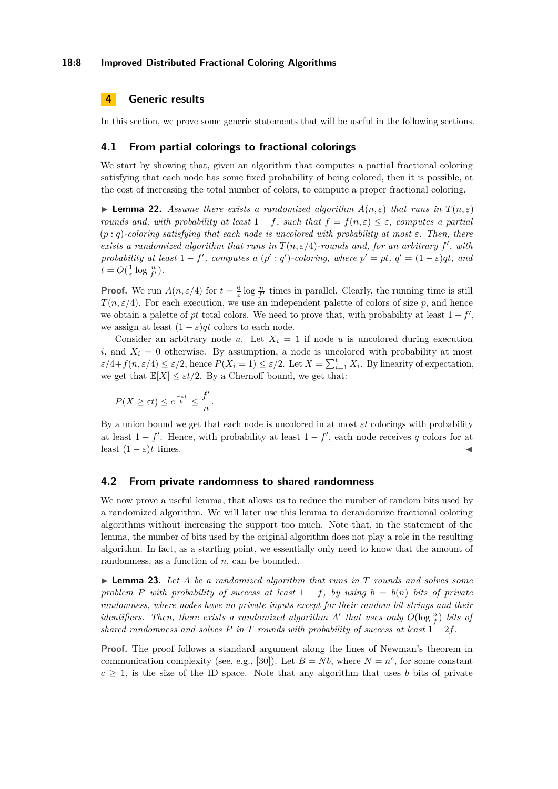### **18:8 Improved Distributed Fractional Coloring Algorithms**

# <span id="page-7-0"></span>**4 Generic results**

In this section, we prove some generic statements that will be useful in the following sections.

### **4.1 From partial colorings to fractional colorings**

We start by showing that, given an algorithm that computes a partial fractional coloring satisfying that each node has some fixed probability of being colored, then it is possible, at the cost of increasing the total number of colors, to compute a proper fractional coloring.

<span id="page-7-2"></span>**Example 22.** Assume there exists a randomized algorithm  $A(n, \varepsilon)$  that runs in  $T(n, \varepsilon)$ *rounds and, with probability at least*  $1 - f$ *, such that*  $f = f(n, \varepsilon) \leq \varepsilon$ *, computes a partial*  $(p: q)$ -coloring satisfying that each node is uncolored with probability at most  $\varepsilon$ . Then, there *exists a randomized algorithm that runs in*  $T(n, \varepsilon/4)$ *-rounds and, for an arbitrary*  $f'$ , with *probability at least*  $1 - f'$ , *computes a*  $(p' : q')$ *-coloring, where*  $p' = pt$ ,  $q' = (1 - \varepsilon)qt$ , and  $t = O(\frac{1}{\varepsilon} \log \frac{n}{f'})$ *.* 

**Proof.** We run  $A(n, \varepsilon/4)$  for  $t = \frac{6}{\varepsilon} \log \frac{n}{f'}$  times in parallel. Clearly, the running time is still  $T(n,\varepsilon/4)$ . For each execution, we use an independent palette of colors of size p, and hence we obtain a palette of *pt* total colors. We need to prove that, with probability at least  $1 - f'$ , we assign at least  $(1 - \varepsilon)qt$  colors to each node.

Consider an arbitrary node *u*. Let  $X_i = 1$  if node *u* is uncolored during execution *i*, and  $X_i = 0$  otherwise. By assumption, a node is uncolored with probability at most  $\varepsilon/4 + f(n, \varepsilon/4) \leq \varepsilon/2$ , hence  $P(X_i = 1) \leq \varepsilon/2$ . Let  $X = \sum_{i=1}^t X_i$ . By linearity of expectation, we get that  $\mathbb{E}[X] \leq \varepsilon t/2$ . By a Chernoff bound, we get that:

$$
P(X \ge \varepsilon t) \le e^{\frac{-\varepsilon t}{6}} \le \frac{f'}{n}.
$$

By a union bound we get that each node is uncolored in at most *εt* colorings with probability at least  $1 - f'$ . Hence, with probability at least  $1 - f'$ , each node receives q colors for at least  $(1 - \varepsilon)t$  times.

### **4.2 From private randomness to shared randomness**

We now prove a useful lemma, that allows us to reduce the number of random bits used by a randomized algorithm. We will later use this lemma to derandomize fractional coloring algorithms without increasing the support too much. Note that, in the statement of the lemma, the number of bits used by the original algorithm does not play a role in the resulting algorithm. In fact, as a starting point, we essentially only need to know that the amount of randomness, as a function of *n*, can be bounded.

<span id="page-7-1"></span>▶ **Lemma 23.** *Let A be a randomized algorithm that runs in T rounds and solves some problem P with probability of success at least*  $1 - f$ *, by using*  $b = b(n)$  *bits of private randomness, where nodes have no private inputs except for their random bit strings and their identifiers. Then, there exists a randomized algorithm A'* that uses only  $O(\log \frac{n}{f})$  bits of *shared randomness and solves P in T rounds with probability of success at least*  $1 - 2f$ *.* 

**Proof.** The proof follows a standard argument along the lines of Newman's theorem in communication complexity (see, e.g., [\[30\]](#page-17-18)). Let  $B = Nb$ , where  $N = n^c$ , for some constant  $c \geq 1$ , is the size of the ID space. Note that any algorithm that uses *b* bits of private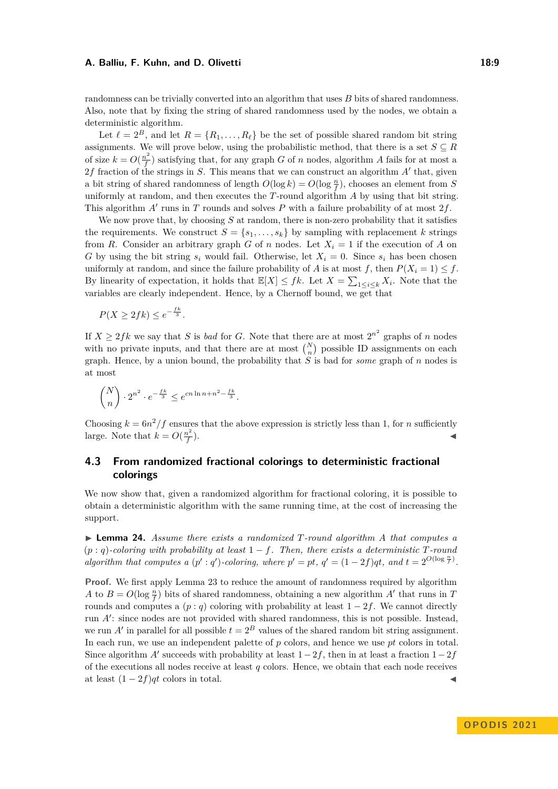randomness can be trivially converted into an algorithm that uses *B* bits of shared randomness. Also, note that by fixing the string of shared randomness used by the nodes, we obtain a deterministic algorithm.

Let  $\ell = 2^B$ , and let  $R = \{R_1, \ldots, R_\ell\}$  be the set of possible shared random bit string assignments. We will prove below, using the probabilistic method, that there is a set  $S \subseteq R$ of size  $k = O(\frac{n^2}{f})$  $f_f^{\infty}$ ) satisfying that, for any graph *G* of *n* nodes, algorithm *A* fails for at most a 2*f* fraction of the strings in *S*. This means that we can construct an algorithm *A*′ that, given a bit string of shared randomness of length  $O(\log k) = O(\log \frac{n}{f})$ , chooses an element from *S* uniformly at random, and then executes the *T*-round algorithm *A* by using that bit string. This algorithm *A*′ runs in *T* rounds and solves *P* with a failure probability of at most 2*f*.

We now prove that, by choosing *S* at random, there is non-zero probability that it satisfies the requirements. We construct  $S = \{s_1, \ldots, s_k\}$  by sampling with replacement *k* strings from *R*. Consider an arbitrary graph *G* of *n* nodes. Let  $X_i = 1$  if the execution of *A* on *G* by using the bit string  $s_i$  would fail. Otherwise, let  $X_i = 0$ . Since  $s_i$  has been chosen uniformly at random, and since the failure probability of *A* is at most *f*, then  $P(X_i = 1) \leq f$ . By linearity of expectation, it holds that  $\mathbb{E}[X] \leq fk$ . Let  $X = \sum_{1 \leq i \leq k} X_i$ . Note that the variables are clearly independent. Hence, by a Chernoff bound, we get that

$$
P(X \ge 2fk) \le e^{-\frac{fk}{3}}.
$$

If  $X \geq 2fk$  we say that *S* is *bad* for *G*. Note that there are at most  $2^{n^2}$  graphs of *n* nodes with no private inputs, and that there are at most  $\binom{N}{n}$  possible ID assignments on each graph. Hence, by a union bound, the probability that *S* is bad for *some* graph of *n* nodes is at most

$$
\binom{N}{n}\cdot 2^{n^2}\cdot e^{-\frac{fk}{3}}\leq e^{cn\ln n+n^2-\frac{fk}{3}}.
$$

Choosing  $k = 6n^2/f$  ensures that the above expression is strictly less than 1, for *n* sufficiently large. Note that  $k = O(\frac{n^2}{f})$ *f*  $\blacksquare$ ).

# **4.3 From randomized fractional colorings to deterministic fractional colorings**

We now show that, given a randomized algorithm for fractional coloring, it is possible to obtain a deterministic algorithm with the same running time, at the cost of increasing the support.

<span id="page-8-0"></span>▶ **Lemma 24.** *Assume there exists a randomized T-round algorithm A that computes a*  $(p: q)$ -coloring with probability at least  $1 - f$ . Then, there exists a deterministic  $T$ -round *algorithm that computes a*  $(p' : q')$ -*coloring, where*  $p' = pt$ ,  $q' = (1 - 2f)qt$ *, and*  $t = 2^{O(\log \frac{n}{f})}$ *.* 

**Proof.** We first apply Lemma [23](#page-7-1) to reduce the amount of randomness required by algorithm *A* to  $B = O(\log \frac{n}{f})$  bits of shared randomness, obtaining a new algorithm *A'* that runs in *T* rounds and computes a  $(p: q)$  coloring with probability at least  $1 - 2f$ . We cannot directly run *A*′ : since nodes are not provided with shared randomness, this is not possible. Instead, we run *A'* in parallel for all possible  $t = 2^B$  values of the shared random bit string assignment. In each run, we use an independent palette of *p* colors, and hence we use *pt* colors in total. Since algorithm *A'* succeeds with probability at least  $1-2f$ , then in at least a fraction  $1-2f$ of the executions all nodes receive at least *q* colors. Hence, we obtain that each node receives at least  $(1 - 2f)qt$  colors in total.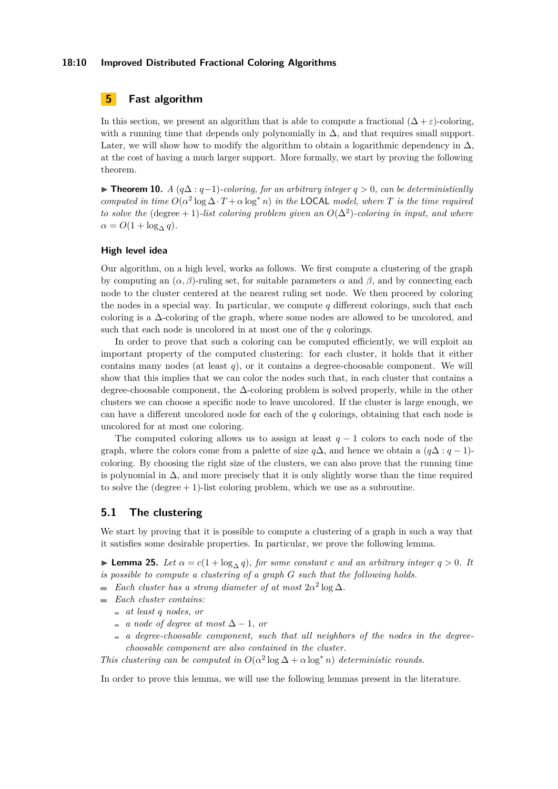### **18:10 Improved Distributed Fractional Coloring Algorithms**

# <span id="page-9-0"></span>**5 Fast algorithm**

In this section, we present an algorithm that is able to compute a fractional  $(\Delta + \varepsilon)$ -coloring, with a running time that depends only polynomially in  $\Delta$ , and that requires small support. Later, we will show how to modify the algorithm to obtain a logarithmic dependency in  $\Delta$ , at the cost of having a much larger support. More formally, we start by proving the following theorem.

▶ **Theorem 10.** *A*  $(q\Delta: q-1)$ *-coloring, for an arbitrary integer*  $q > 0$ *, can be deterministically computed in time*  $O(\alpha^2 \log \Delta \cdot T + \alpha \log^* n)$  *in the* LOCAL *model, where T is the time required to solve the* (degree + 1)*-list coloring problem given an*  $O(\Delta^2)$ *-coloring in input, and where*  $\alpha = O(1 + \log_{\Lambda} q)$ .

### **High level idea**

Our algorithm, on a high level, works as follows. We first compute a clustering of the graph by computing an  $(\alpha, \beta)$ -ruling set, for suitable parameters  $\alpha$  and  $\beta$ , and by connecting each node to the cluster centered at the nearest ruling set node. We then proceed by coloring the nodes in a special way. In particular, we compute *q* different colorings, such that each coloring is a  $\Delta$ -coloring of the graph, where some nodes are allowed to be uncolored, and such that each node is uncolored in at most one of the *q* colorings.

In order to prove that such a coloring can be computed efficiently, we will exploit an important property of the computed clustering: for each cluster, it holds that it either contains many nodes (at least *q*), or it contains a degree-choosable component. We will show that this implies that we can color the nodes such that, in each cluster that contains a degree-choosable component, the ∆-coloring problem is solved properly, while in the other clusters we can choose a specific node to leave uncolored. If the cluster is large enough, we can have a different uncolored node for each of the *q* colorings, obtaining that each node is uncolored for at most one coloring.

The computed coloring allows us to assign at least  $q-1$  colors to each node of the graph, where the colors come from a palette of size  $q\Delta$ , and hence we obtain a  $(q\Delta:q-1)$ coloring. By choosing the right size of the clusters, we can also prove that the running time is polynomial in  $\Delta$ , and more precisely that it is only slightly worse than the time required to solve the  $(\text{degree} + 1)$ -list coloring problem, which we use as a subroutine.

# **5.1 The clustering**

We start by proving that it is possible to compute a clustering of a graph in such a way that it satisfies some desirable properties. In particular, we prove the following lemma.

<span id="page-9-1"></span>**► Lemma 25.** *Let*  $\alpha = c(1 + \log_{\Delta} q)$ *, for some constant c and an arbitrary integer*  $q > 0$ *. It is possible to compute a clustering of a graph G such that the following holds.*

- *Each cluster has a strong diameter of at most*  $2\alpha^2 \log \Delta$ *.*
- *Each cluster contains:*  $\equiv$ 
	- *at least q nodes, or*
	- $\blacksquare$  *a node of degree at most* ∆ − 1*, or*
	- *a degree-choosable component, such that all neighbors of the nodes in the degreechoosable component are also contained in the cluster.*

*This clustering can be computed in*  $O(\alpha^2 \log \Delta + \alpha \log^* n)$  *deterministic rounds.* 

<span id="page-9-2"></span>In order to prove this lemma, we will use the following lemmas present in the literature.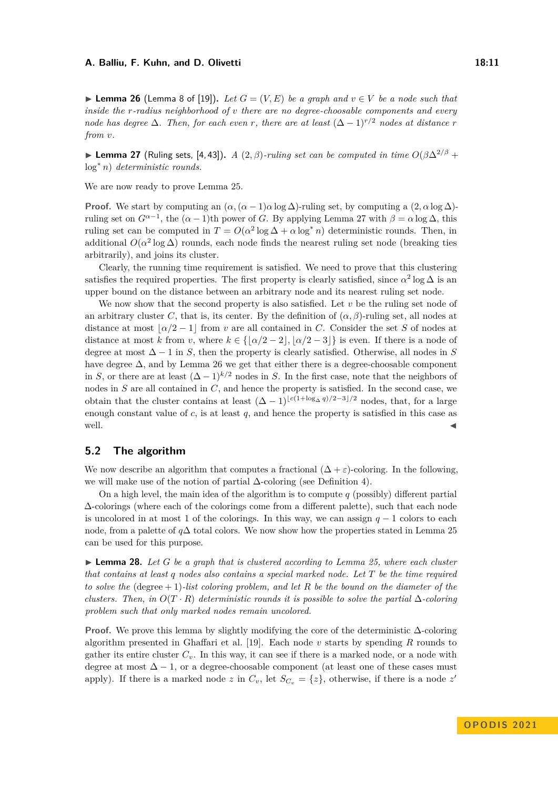▶ **Lemma 26** (Lemma 8 of [\[19\]](#page-16-12)). Let  $G = (V, E)$  be a graph and  $v \in V$  be a node such that *inside the r-radius neighborhood of v there are no degree-choosable components and every node has degree*  $\Delta$ *. Then, for each even r, there are at least*  $(\Delta - 1)^{r/2}$  *nodes at distance r from v.*

<span id="page-10-0"></span>**► Lemma 27** (Ruling sets, [\[4,](#page-16-16) [43\]](#page-17-19)). *A* (2,  $\beta$ )*-ruling set can be computed in time*  $O(\beta \Delta^{2/\beta} +$ log<sup>∗</sup> *n*) *deterministic rounds.*

We are now ready to prove Lemma [25.](#page-9-1)

**Proof.** We start by computing an  $(\alpha, (\alpha - 1)a \log \Delta)$ -ruling set, by computing a  $(2, \alpha \log \Delta)$ ruling set on  $G^{\alpha-1}$ , the  $(\alpha - 1)$ th power of *G*. By applying Lemma [27](#page-10-0) with  $\beta = \alpha \log \Delta$ , this ruling set can be computed in  $T = O(\alpha^2 \log \Delta + \alpha \log^* n)$  deterministic rounds. Then, in additional  $O(\alpha^2 \log \Delta)$  rounds, each node finds the nearest ruling set node (breaking ties arbitrarily), and joins its cluster.

Clearly, the running time requirement is satisfied. We need to prove that this clustering satisfies the required properties. The first property is clearly satisfied, since  $\alpha^2 \log \Delta$  is an upper bound on the distance between an arbitrary node and its nearest ruling set node.

We now show that the second property is also satisfied. Let *v* be the ruling set node of an arbitrary cluster *C*, that is, its center. By the definition of  $(\alpha, \beta)$ -ruling set, all nodes at distance at most  $\alpha/2 - 1$  from *v* are all contained in *C*. Consider the set *S* of nodes at distance at most *k* from *v*, where  $k \in \{|\alpha/2 - 2|, |\alpha/2 - 3|\}$  is even. If there is a node of degree at most  $\Delta - 1$  in *S*, then the property is clearly satisfied. Otherwise, all nodes in *S* have degree  $\Delta$ , and by Lemma [26](#page-9-2) we get that either there is a degree-choosable component in *S*, or there are at least  $(\Delta - 1)^{k/2}$  nodes in *S*. In the first case, note that the neighbors of nodes in *S* are all contained in *C*, and hence the property is satisfied. In the second case, we obtain that the cluster contains at least  $(\Delta - 1)^{\lfloor c(1+\log_{\Delta} q)/2 - 3\rfloor/2}$  nodes, that, for a large enough constant value of *c*, is at least *q*, and hence the property is satisfied in this case as well.  $\triangleleft$ 

# **5.2 The algorithm**

We now describe an algorithm that computes a fractional  $(\Delta + \varepsilon)$ -coloring. In the following, we will make use of the notion of partial ∆-coloring (see Definition [4\)](#page-4-0).

On a high level, the main idea of the algorithm is to compute *q* (possibly) different partial ∆-colorings (where each of the colorings come from a different palette), such that each node is uncolored in at most 1 of the colorings. In this way, we can assign  $q-1$  colors to each node, from a palette of *q*∆ total colors. We now show how the properties stated in Lemma [25](#page-9-1) can be used for this purpose.

<span id="page-10-1"></span>▶ **Lemma 28.** *Let G be a graph that is clustered according to Lemma [25,](#page-9-1) where each cluster that contains at least q nodes also contains a special marked node. Let T be the time required to solve the* (degree + 1)*-list coloring problem, and let R be the bound on the diameter of the clusters. Then, in*  $O(T \cdot R)$  *deterministic rounds it is possible to solve the partial*  $\Delta$ -*coloring problem such that only marked nodes remain uncolored.*

**Proof.** We prove this lemma by slightly modifying the core of the deterministic ∆-coloring algorithm presented in Ghaffari et al. [\[19\]](#page-16-12). Each node *v* starts by spending *R* rounds to gather its entire cluster  $C_v$ . In this way, it can see if there is a marked node, or a node with degree at most  $\Delta - 1$ , or a degree-choosable component (at least one of these cases must apply). If there is a marked node *z* in  $C_v$ , let  $S_{C_v} = \{z\}$ , otherwise, if there is a node *z*<sup>*'*</sup>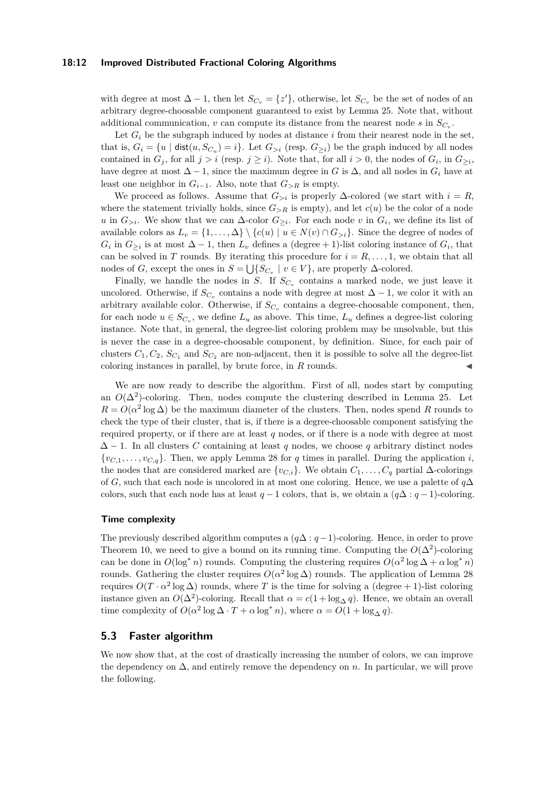### **18:12 Improved Distributed Fractional Coloring Algorithms**

with degree at most  $\Delta - 1$ , then let  $S_{C_v} = \{z'\}$ , otherwise, let  $S_{C_v}$  be the set of nodes of an arbitrary degree-choosable component guaranteed to exist by Lemma [25.](#page-9-1) Note that, without additional communication, *v* can compute its distance from the nearest node *s* in *SC<sup>v</sup>* .

Let  $G_i$  be the subgraph induced by nodes at distance  $i$  from their nearest node in the set, that is,  $G_i = \{u \mid \text{dist}(u, S_{C_u}) = i\}$ . Let  $G_{>i}$  (resp.  $G_{\geq i}$ ) be the graph induced by all nodes contained in  $G_j$ , for all  $j > i$  (resp.  $j \ge i$ ). Note that, for all  $i > 0$ , the nodes of  $G_i$ , in  $G_{\ge i}$ , have degree at most  $\Delta - 1$ , since the maximum degree in *G* is  $\Delta$ , and all nodes in  $G_i$  have at least one neighbor in  $G_{i-1}$ . Also, note that  $G_{\geq R}$  is empty.

We proceed as follows. Assume that  $G_{\geq i}$  is properly  $\Delta$ -colored (we start with  $i = R$ , where the statement trivially holds, since  $G_{\geq R}$  is empty), and let  $c(u)$  be the color of a node *u* in  $G_{>i}$ . We show that we can  $\Delta$ -color  $G_{\geq i}$ . For each node *v* in  $G_i$ , we define its list of available colors as  $L_v = \{1, \ldots, \Delta\} \setminus \{c(u) \mid u \in N(v) \cap G_{>i}\}.$  Since the degree of nodes of  $G_i$  in  $G_{\geq i}$  is at most  $\Delta - 1$ , then  $L_v$  defines a (degree + 1)-list coloring instance of  $G_i$ , that can be solved in *T* rounds. By iterating this procedure for  $i = R, \ldots, 1$ , we obtain that all nodes of *G*, except the ones in  $S = \bigcup \{S_{C_v} \mid v \in V\}$ , are properly  $\Delta$ -colored.

Finally, we handle the nodes in *S*. If  $S_{C_v}$  contains a marked node, we just leave it uncolored. Otherwise, if  $S_{C_v}$  contains a node with degree at most  $\Delta - 1$ , we color it with an arbitrary available color. Otherwise, if  $S_{C_v}$  contains a degree-choosable component, then, for each node  $u \in S_{C_v}$ , we define  $L_u$  as above. This time,  $L_u$  defines a degree-list coloring instance. Note that, in general, the degree-list coloring problem may be unsolvable, but this is never the case in a degree-choosable component, by definition. Since, for each pair of clusters  $C_1, C_2, S_{C_1}$  and  $S_{C_2}$  are non-adjacent, then it is possible to solve all the degree-list coloring instances in parallel, by brute force, in *R* rounds.

We are now ready to describe the algorithm. First of all, nodes start by computing an  $O(\Delta^2)$ -coloring. Then, nodes compute the clustering described in Lemma [25.](#page-9-1) Let  $R = O(\alpha^2 \log \Delta)$  be the maximum diameter of the clusters. Then, nodes spend *R* rounds to check the type of their cluster, that is, if there is a degree-choosable component satisfying the required property, or if there are at least *q* nodes, or if there is a node with degree at most  $\Delta - 1$ . In all clusters *C* containing at least *q* nodes, we choose *q* arbitrary distinct nodes  $\{v_{C,1}, \ldots, v_{C,g}\}\$ . Then, we apply Lemma [28](#page-10-1) for *q* times in parallel. During the application *i*, the nodes that are considered marked are  $\{v_{C,i}\}$ . We obtain  $C_1, \ldots, C_q$  partial ∆-colorings of *G*, such that each node is uncolored in at most one coloring. Hence, we use a palette of *q*∆ colors, such that each node has at least  $q-1$  colors, that is, we obtain a  $(q\Delta:q-1)$ -coloring.

#### **Time complexity**

The previously described algorithm computes a (*q*∆ : *q*−1)-coloring. Hence, in order to prove Theorem [10,](#page-5-2) we need to give a bound on its running time. Computing the  $O(\Delta^2)$ -coloring can be done in  $O(\log^* n)$  rounds. Computing the clustering requires  $O(\alpha^2 \log \Delta + \alpha \log^* n)$ rounds. Gathering the cluster requires  $O(\alpha^2 \log \Delta)$  rounds. The application of Lemma [28](#page-10-1) requires  $O(T \cdot \alpha^2 \log \Delta)$  rounds, where *T* is the time for solving a (degree + 1)-list coloring instance given an  $O(\Delta^2)$ -coloring. Recall that  $\alpha = c(1 + \log_{\Delta} q)$ . Hence, we obtain an overall time complexity of  $O(\alpha^2 \log \Delta \cdot T + \alpha \log^* n)$ , where  $\alpha = O(1 + \log_{\Delta} q)$ .

### **5.3 Faster algorithm**

We now show that, at the cost of drastically increasing the number of colors, we can improve the dependency on  $\Delta$ , and entirely remove the dependency on *n*. In particular, we will prove the following.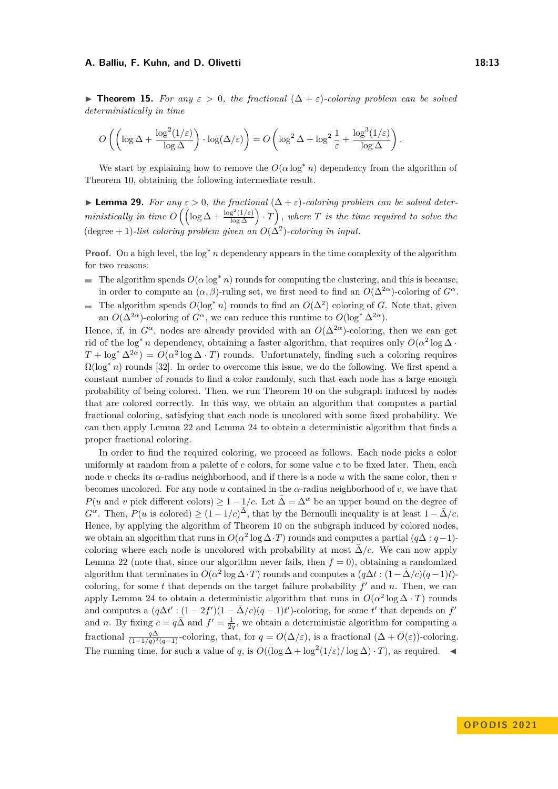$$
O\left(\left(\log \Delta + \frac{\log^2(1/\varepsilon)}{\log \Delta}\right) \cdot \log(\Delta/\varepsilon)\right) = O\left(\log^2 \Delta + \log^2 \frac{1}{\varepsilon} + \frac{\log^3(1/\varepsilon)}{\log \Delta}\right).
$$

We start by explaining how to remove the  $O(\alpha \log^* n)$  dependency from the algorithm of Theorem [10,](#page-5-2) obtaining the following intermediate result.

<span id="page-12-0"></span> $▶$  **Lemma 29.** For any  $ε > 0$ , the fractional  $(Δ + ε)$ -coloring problem can be solved deter $ministically \, \text{in time } O\left(\left(\log \Delta + \frac{\log^2(1/\varepsilon)}{\log \Delta}\right) \cdot T\right), \, \text{where } T \, \text{ is the time required to solve the}$  $(\text{degree} + 1)$ -list coloring problem given an  $O(\Delta^2)$ -coloring in input.

**Proof.** On a high level, the log<sup>∗</sup> *n* dependency appears in the time complexity of the algorithm for two reasons:

- The algorithm spends  $O(\alpha \log^* n)$  rounds for computing the clustering, and this is because, in order to compute an  $(\alpha, \beta)$ -ruling set, we first need to find an  $O(\Delta^{2\alpha})$ -coloring of  $G^{\alpha}$ .
- The algorithm spends  $O(\log^* n)$  rounds to find an  $O(\Delta^2)$  coloring of *G*. Note that, given  $\overline{a}$ an  $O(\Delta^{2\alpha})$ -coloring of  $G^{\alpha}$ , we can reduce this runtime to  $O(\log^* \Delta^{2\alpha})$ .

Hence, if, in  $G^{\alpha}$ , nodes are already provided with an  $O(\Delta^{2\alpha})$ -coloring, then we can get rid of the log<sup>\*</sup> *n* dependency, obtaining a faster algorithm, that requires only  $O(\alpha^2 \log \Delta \cdot$  $T + \log^* \Delta^{2\alpha}$  =  $O(\alpha^2 \log \Delta \cdot T)$  rounds. Unfortunately, finding such a coloring requires  $\Omega(\log^* n)$  rounds [\[32\]](#page-17-20). In order to overcome this issue, we do the following. We first spend a constant number of rounds to find a color randomly, such that each node has a large enough probability of being colored. Then, we run Theorem [10](#page-5-2) on the subgraph induced by nodes that are colored correctly. In this way, we obtain an algorithm that computes a partial fractional coloring, satisfying that each node is uncolored with some fixed probability. We can then apply Lemma [22](#page-7-2) and Lemma [24](#page-8-0) to obtain a deterministic algorithm that finds a proper fractional coloring.

In order to find the required coloring, we proceed as follows. Each node picks a color uniformly at random from a palette of *c* colors, for some value *c* to be fixed later. Then, each node *v* checks its *α*-radius neighborhood, and if there is a node *u* with the same color, then *v* becomes uncolored. For any node  $u$  contained in the  $\alpha$ -radius neighborhood of  $v$ , we have that *P*(*u* and *v* pick different colors)  $\geq 1 - 1/c$ . Let  $\overline{\Delta} = \Delta^{\alpha}$  be an upper bound on the degree of  $G^{\alpha}$ . Then,  $P(u \text{ is colored}) \geq (1 - 1/c)^{\overline{\Delta}}$ , that by the Bernoulli inequality is at least  $1 - \overline{\Delta}/c$ . Hence, by applying the algorithm of Theorem [10](#page-5-2) on the subgraph induced by colored nodes, we obtain an algorithm that runs in  $O(\alpha^2 \log \Delta \cdot T)$  rounds and computes a partial  $(q\Delta : q-1)$ coloring where each node is uncolored with probability at most  $\Delta/c$ . We can now apply Lemma [22](#page-7-2) (note that, since our algorithm never fails, then  $f = 0$ ), obtaining a randomized algorithm that terminates in  $O(\alpha^2 \log \Delta \cdot T)$  rounds and computes a  $(q\Delta t : (1 - \bar{\Delta}/c)(q - 1)t)$ coloring, for some  $t$  that depends on the target failure probability  $f'$  and  $n$ . Then, we can apply Lemma [24](#page-8-0) to obtain a deterministic algorithm that runs in  $O(\alpha^2 \log \Delta \cdot T)$  rounds and computes a  $(q\Delta t': (1-2f')(1-\bar{\Delta}/c)(q-1)t')$ -coloring, for some *t'* that depends on *f'* and *n*. By fixing  $c = q\overline{\Delta}$  and  $f' = \frac{1}{2q}$ , we obtain a deterministic algorithm for computing a fractional  $\frac{q\Delta}{(1-1/q)^2(q-1)}$ -coloring, that, for  $q = O(\Delta/\varepsilon)$ , is a fractional  $(\Delta + O(\varepsilon))$ -coloring. The running time, for such a value of *q*, is  $O((\log \Delta + \log^2(1/\varepsilon)/\log \Delta) \cdot T)$ , as required.  $\blacktriangleleft$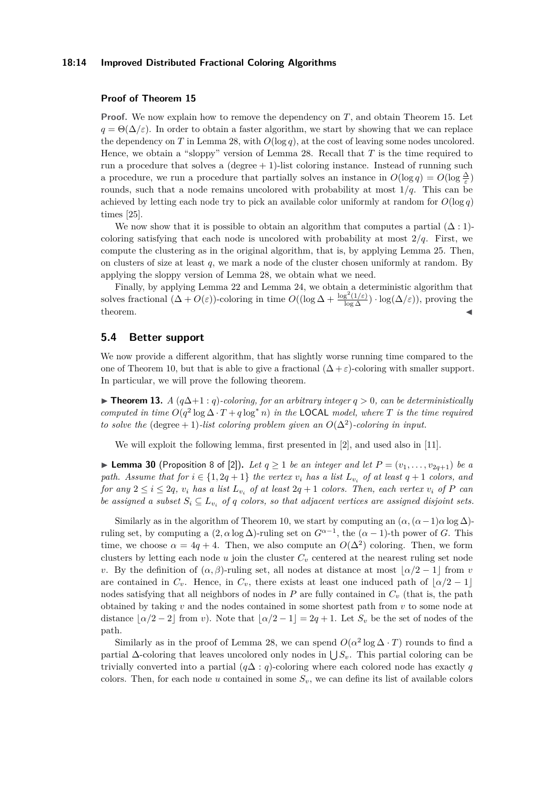### **18:14 Improved Distributed Fractional Coloring Algorithms**

### **Proof of Theorem [15](#page-6-0)**

**Proof.** We now explain how to remove the dependency on *T*, and obtain Theorem [15.](#page-6-0) Let  $q = \Theta(\Delta/\varepsilon)$ . In order to obtain a faster algorithm, we start by showing that we can replace the dependency on *T* in Lemma [28,](#page-10-1) with  $O(\log q)$ , at the cost of leaving some nodes uncolored. Hence, we obtain a "sloppy" version of Lemma [28.](#page-10-1) Recall that *T* is the time required to run a procedure that solves a  $(\text{degree} + 1)$ -list coloring instance. Instead of running such a procedure, we run a procedure that partially solves an instance in  $O(\log q) = O(\log \frac{\Delta}{\varepsilon})$ rounds, such that a node remains uncolored with probability at most 1*/q*. This can be achieved by letting each node try to pick an available color uniformly at random for  $O(\log q)$ times [\[25\]](#page-17-5).

We now show that it is possible to obtain an algorithm that computes a partial  $(\Delta : 1)$ coloring satisfying that each node is uncolored with probability at most  $2/q$ . First, we compute the clustering as in the original algorithm, that is, by applying Lemma [25.](#page-9-1) Then, on clusters of size at least *q*, we mark a node of the cluster chosen uniformly at random. By applying the sloppy version of Lemma [28,](#page-10-1) we obtain what we need.

Finally, by applying Lemma [22](#page-7-2) and Lemma [24,](#page-8-0) we obtain a deterministic algorithm that solves fractional  $(\Delta + O(\varepsilon))$ -coloring in time  $O((\log \Delta + \frac{\log^2(1/\varepsilon)}{\log \Delta}) \cdot \log(\Delta/\varepsilon))$ , proving the  $\blacksquare$   $\blacksquare$ 

### **5.4 Better support**

We now provide a different algorithm, that has slightly worse running time compared to the one of Theorem [10,](#page-5-2) but that is able to give a fractional  $(\Delta + \varepsilon)$ -coloring with smaller support. In particular, we will prove the following theorem.

▶ **Theorem 13.** *A*  $(q\Delta+1:q)$ -coloring, for an arbitrary integer  $q > 0$ , can be deterministically *computed in time*  $O(q^2 \log \Delta \cdot T + q \log^* n)$  *in the* **LOCAL** *model, where T is the time required to solve the* (degree + 1)*-list coloring problem given an*  $O(\Delta^2)$ *-coloring in input.* 

We will exploit the following lemma, first presented in [\[2\]](#page-16-17), and used also in [\[11\]](#page-16-15).

<span id="page-13-0"></span>▶ **Lemma 30** (Proposition 8 of [\[2\]](#page-16-17)). Let  $q \ge 1$  be an integer and let  $P = (v_1, \ldots, v_{2q+1})$  be a *path. Assume that for*  $i \in \{1, 2q + 1\}$  *the vertex*  $v_i$  *has a list*  $L_{v_i}$  *of at least*  $q + 1$  *colors, and for any*  $2 \leq i \leq 2q$ ,  $v_i$  *has a list*  $L_{v_i}$  *of at least*  $2q + 1$  *colors. Then, each vertex*  $v_i$  *of*  $P$  *can be assigned a subset*  $S_i \subseteq L_{v_i}$  *of q colors, so that adjacent vertices are assigned disjoint sets.* 

Similarly as in the algorithm of Theorem [10,](#page-5-2) we start by computing an  $(\alpha, (\alpha - 1)\alpha \log \Delta)$ ruling set, by computing a  $(2, \alpha \log \Delta)$ -ruling set on  $G^{\alpha-1}$ , the  $(\alpha - 1)$ -th power of *G*. This time, we choose  $\alpha = 4q + 4$ . Then, we also compute an  $O(\Delta^2)$  coloring. Then, we form clusters by letting each node  $u$  join the cluster  $C_v$  centered at the nearest ruling set node *v*. By the definition of  $(\alpha, \beta)$ -ruling set, all nodes at distance at most  $|\alpha/2 - 1|$  from *v* are contained in  $C_v$ . Hence, in  $C_v$ , there exists at least one induced path of  $\lfloor \alpha/2 - 1 \rfloor$ nodes satisfying that all neighbors of nodes in *P* are fully contained in *C<sup>v</sup>* (that is, the path obtained by taking *v* and the nodes contained in some shortest path from *v* to some node at distance  $|\alpha/2 - 2|$  from *v*). Note that  $|\alpha/2 - 1| = 2q + 1$ . Let  $S_v$  be the set of nodes of the path.

Similarly as in the proof of Lemma [28,](#page-10-1) we can spend  $O(\alpha^2 \log \Delta \cdot T)$  rounds to find a partial  $\Delta$ -coloring that leaves uncolored only nodes in  $\bigcup S_v$ . This partial coloring can be trivially converted into a partial (*q*∆ : *q*)-coloring where each colored node has exactly *q* colors. Then, for each node  $u$  contained in some  $S_v$ , we can define its list of available colors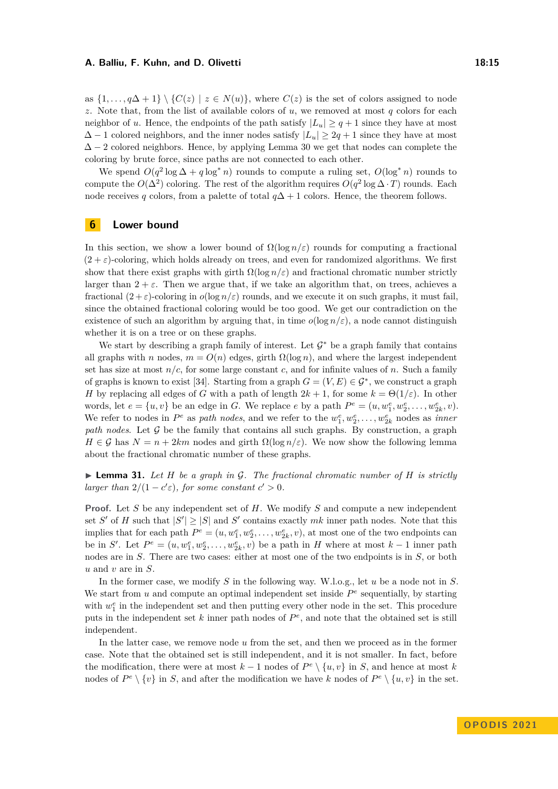as  $\{1,\ldots,q\Delta+1\} \setminus \{C(z) | z \in N(u)\}\$ , where  $C(z)$  is the set of colors assigned to node *z*. Note that, from the list of available colors of *u*, we removed at most *q* colors for each neighbor of *u*. Hence, the endpoints of the path satisfy  $|L_u| \geq q+1$  since they have at most  $\Delta - 1$  colored neighbors, and the inner nodes satisfy  $|L_u| \geq 2q + 1$  since they have at most  $\Delta - 2$  colored neighbors. Hence, by applying Lemma [30](#page-13-0) we get that nodes can complete the coloring by brute force, since paths are not connected to each other.

We spend  $O(q^2 \log \Delta + q \log^* n)$  rounds to compute a ruling set,  $O(\log^* n)$  rounds to compute the  $O(\Delta^2)$  coloring. The rest of the algorithm requires  $O(q^2 \log \Delta \cdot T)$  rounds. Each node receives *q* colors, from a palette of total  $q\Delta + 1$  colors. Hence, the theorem follows.

# <span id="page-14-0"></span>**6 Lower bound**

In this section, we show a lower bound of  $\Omega(\log n/\varepsilon)$  rounds for computing a fractional  $(2 + \varepsilon)$ -coloring, which holds already on trees, and even for randomized algorithms. We first show that there exist graphs with girth  $\Omega(\log n/\varepsilon)$  and fractional chromatic number strictly larger than  $2 + \varepsilon$ . Then we argue that, if we take an algorithm that, on trees, achieves a fractional  $(2 + \varepsilon)$ -coloring in  $o(\log n/\varepsilon)$  rounds, and we execute it on such graphs, it must fail, since the obtained fractional coloring would be too good. We get our contradiction on the existence of such an algorithm by arguing that, in time  $o(log n/\varepsilon)$ , a node cannot distinguish whether it is on a tree or on these graphs.

We start by describing a graph family of interest. Let  $\mathcal{G}^*$  be a graph family that contains all graphs with *n* nodes,  $m = O(n)$  edges, girth  $\Omega(\log n)$ , and where the largest independent set has size at most  $n/c$ , for some large constant c, and for infinite values of n. Such a family of graphs is known to exist [\[34\]](#page-17-21). Starting from a graph  $G = (V, E) \in \mathcal{G}^*$ , we construct a graph *H* by replacing all edges of *G* with a path of length  $2k + 1$ , for some  $k = \Theta(1/\varepsilon)$ . In other words, let  $e = \{u, v\}$  be an edge in *G*. We replace *e* by a path  $P^e = (u, w_1^e, w_2^e, \dots, w_{2k}^e, v)$ . We refer to nodes in  $P^e$  as *path nodes*, and we refer to the  $w_1^e, w_2^e, \ldots, w_{2k}^e$  nodes as *inner path nodes*. Let G be the family that contains all such graphs. By construction, a graph  $H \in \mathcal{G}$  has  $N = n + 2km$  nodes and girth  $\Omega(\log n/\varepsilon)$ . We now show the following lemma about the fractional chromatic number of these graphs.

 $\blacktriangleright$  **Lemma 31.** Let *H* be a graph in G. The fractional chromatic number of *H* is strictly *larger than*  $2/(1 - c'\varepsilon)$ *, for some constant*  $c' > 0$ *.* 

**Proof.** Let *S* be any independent set of *H*. We modify *S* and compute a new independent set *S'* of *H* such that  $|S'| \geq |S|$  and *S'* contains exactly *mk* inner path nodes. Note that this implies that for each path  $P^e = (u, w_1^e, w_2^e, \dots, w_{2k}^e, v)$ , at most one of the two endpoints can be in *S'*. Let  $P^e = (u, w_1^e, w_2^e, \dots, w_{2k}^e, v)$  be a path in *H* where at most  $k-1$  inner path nodes are in *S*. There are two cases: either at most one of the two endpoints is in *S*, or both *u* and *v* are in *S*.

In the former case, we modify *S* in the following way. W.l.o.g., let *u* be a node not in *S*. We start from  $u$  and compute an optimal independent set inside  $P^e$  sequentially, by starting with  $w_1^e$  in the independent set and then putting every other node in the set. This procedure puts in the independent set  $k$  inner path nodes of  $P^e$ , and note that the obtained set is still independent.

In the latter case, we remove node *u* from the set, and then we proceed as in the former case. Note that the obtained set is still independent, and it is not smaller. In fact, before the modification, there were at most  $k-1$  nodes of  $P^e \setminus \{u, v\}$  in *S*, and hence at most *k* nodes of  $P^e \setminus \{v\}$  in *S*, and after the modification we have *k* nodes of  $P^e \setminus \{u, v\}$  in the set.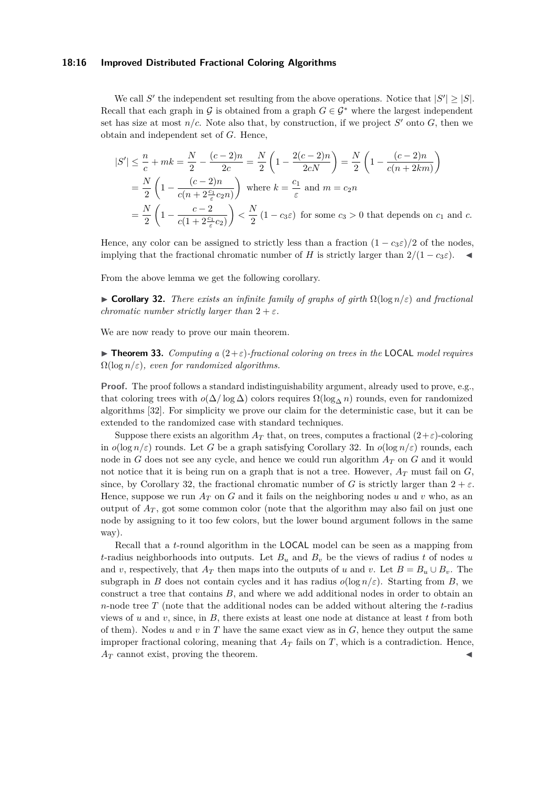### **18:16 Improved Distributed Fractional Coloring Algorithms**

We call S' the independent set resulting from the above operations. Notice that  $|S'| \geq |S|$ . Recall that each graph in G is obtained from a graph  $G \in \mathcal{G}^*$  where the largest independent set has size at most  $n/c$ . Note also that, by construction, if we project  $S'$  onto  $G$ , then we obtain and independent set of *G*. Hence,

$$
|S'| \leq \frac{n}{c} + mk = \frac{N}{2} - \frac{(c-2)n}{2c} = \frac{N}{2} \left( 1 - \frac{2(c-2)n}{2cN} \right) = \frac{N}{2} \left( 1 - \frac{(c-2)n}{c(n+2km)} \right)
$$
  
=  $\frac{N}{2} \left( 1 - \frac{(c-2)n}{c(n+2\frac{c_1}{c}c_2n)} \right)$  where  $k = \frac{c_1}{\varepsilon}$  and  $m = c_2n$   
=  $\frac{N}{2} \left( 1 - \frac{c-2}{c(1+2\frac{c_1}{\varepsilon}c_2)} \right) < \frac{N}{2} (1 - c_3\varepsilon)$  for some  $c_3 > 0$  that depends on  $c_1$  and  $c$ .

Hence, any color can be assigned to strictly less than a fraction  $(1 - c_3 \varepsilon)/2$  of the nodes, implying that the fractional chromatic number of *H* is strictly larger than  $2/(1 - c_3\varepsilon)$ .

<span id="page-15-0"></span>From the above lemma we get the following corollary.

 $\triangleright$  **Corollary 32.** *There exists an infinite family of graphs of girth*  $\Omega(\log n/\varepsilon)$  *and fractional chromatic number strictly larger than*  $2 + \varepsilon$ *.* 

We are now ready to prove our main theorem.

 $\triangleright$  **Theorem 33.** *Computing a* (2+*ε*)-fractional coloring on trees in the LOCAL model requires  $\Omega(\log n/\varepsilon)$ *, even for randomized algorithms.* 

**Proof.** The proof follows a standard indistinguishability argument, already used to prove, e.g., that coloring trees with  $o(\Delta/\log \Delta)$  colors requires  $\Omega(\log \Delta n)$  rounds, even for randomized algorithms [\[32\]](#page-17-20). For simplicity we prove our claim for the deterministic case, but it can be extended to the randomized case with standard techniques.

Suppose there exists an algorithm  $A_T$  that, on trees, computes a fractional  $(2+\varepsilon)$ -coloring in  $o(\log n/\varepsilon)$  rounds. Let *G* be a graph satisfying Corollary [32.](#page-15-0) In  $o(\log n/\varepsilon)$  rounds, each node in *G* does not see any cycle, and hence we could run algorithm *A<sup>T</sup>* on *G* and it would not notice that it is being run on a graph that is not a tree. However, *A<sup>T</sup>* must fail on *G*, since, by Corollary [32,](#page-15-0) the fractional chromatic number of *G* is strictly larger than  $2 + \varepsilon$ . Hence, suppose we run  $A_T$  on G and it fails on the neighboring nodes u and v who, as an output of  $A_T$ , got some common color (note that the algorithm may also fail on just one node by assigning to it too few colors, but the lower bound argument follows in the same way).

Recall that a *t*-round algorithm in the LOCAL model can be seen as a mapping from *t*-radius neighborhoods into outputs. Let  $B_u$  and  $B_v$  be the views of radius *t* of nodes *u* and *v*, respectively, that  $A_T$  then maps into the outputs of *u* and *v*. Let  $B = B_u \cup B_v$ . The subgraph in *B* does not contain cycles and it has radius  $o(\log n/\varepsilon)$ . Starting from *B*, we construct a tree that contains *B*, and where we add additional nodes in order to obtain an *n*-node tree *T* (note that the additional nodes can be added without altering the *t*-radius views of *u* and *v*, since, in *B*, there exists at least one node at distance at least *t* from both of them). Nodes *u* and *v* in *T* have the same exact view as in *G*, hence they output the same improper fractional coloring, meaning that  $A_T$  fails on  $T$ , which is a contradiction. Hence,  $A_T$  cannot exist, proving the theorem.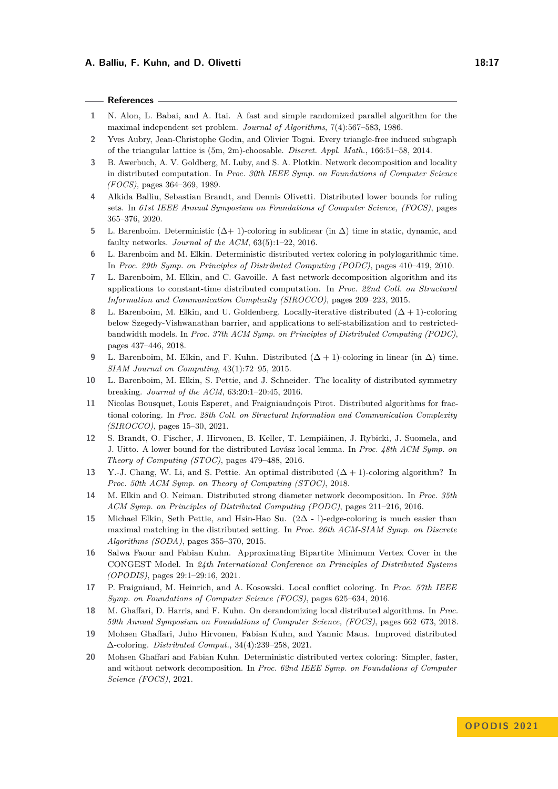### **References**

- <span id="page-16-4"></span>**1** N. Alon, L. Babai, and A. Itai. A fast and simple randomized parallel algorithm for the maximal independent set problem. *Journal of Algorithms*, 7(4):567–583, 1986.
- <span id="page-16-17"></span>**2** Yves Aubry, Jean-Christophe Godin, and Olivier Togni. Every triangle-free induced subgraph of the triangular lattice is (5m, 2m)-choosable. *Discret. Appl. Math.*, 166:51–58, 2014.
- <span id="page-16-8"></span>**3** B. Awerbuch, A. V. Goldberg, M. Luby, and S. A. Plotkin. Network decomposition and locality in distributed computation. In *Proc. 30th IEEE Symp. on Foundations of Computer Science (FOCS)*, pages 364–369, 1989.
- <span id="page-16-16"></span>**4** Alkida Balliu, Sebastian Brandt, and Dennis Olivetti. Distributed lower bounds for ruling sets. In *61st IEEE Annual Symposium on Foundations of Computer Science, (FOCS)*, pages 365–376, 2020.
- <span id="page-16-0"></span>**5** L. Barenboim. Deterministic (∆+ 1)-coloring in sublinear (in ∆) time in static, dynamic, and faulty networks. *Journal of the ACM*, 63(5):1–22, 2016.
- <span id="page-16-9"></span>**6** L. Barenboim and M. Elkin. Deterministic distributed vertex coloring in polylogarithmic time. In *Proc. 29th Symp. on Principles of Distributed Computing (PODC)*, pages 410–419, 2010.
- <span id="page-16-14"></span>**7** L. Barenboim, M. Elkin, and C. Gavoille. A fast network-decomposition algorithm and its applications to constant-time distributed computation. In *Proc. 22nd Coll. on Structural Information and Communication Complexity (SIROCCO)*, pages 209–223, 2015.
- <span id="page-16-1"></span>**8** L. Barenboim, M. Elkin, and U. Goldenberg. Locally-iterative distributed (∆ + 1)-coloring below Szegedy-Vishwanathan barrier, and applications to self-stabilization and to restrictedbandwidth models. In *Proc. 37th ACM Symp. on Principles of Distributed Computing (PODC)*, pages 437–446, 2018.
- <span id="page-16-2"></span>**9** L. Barenboim, M. Elkin, and F. Kuhn. Distributed  $(\Delta + 1)$ -coloring in linear (in  $\Delta$ ) time. *SIAM Journal on Computing*, 43(1):72–95, 2015.
- <span id="page-16-5"></span>**10** L. Barenboim, M. Elkin, S. Pettie, and J. Schneider. The locality of distributed symmetry breaking. *Journal of the ACM*, 63:20:1–20:45, 2016.
- <span id="page-16-15"></span>**11** Nicolas Bousquet, Louis Esperet, and Fraigniaudnçois Pirot. Distributed algorithms for fractional coloring. In *Proc. 28th Coll. on Structural Information and Communication Complexity (SIROCCO)*, pages 15–30, 2021.
- <span id="page-16-11"></span>**12** S. Brandt, O. Fischer, J. Hirvonen, B. Keller, T. Lempiäinen, J. Rybicki, J. Suomela, and J. Uitto. A lower bound for the distributed Lovász local lemma. In *Proc. 48th ACM Symp. on Theory of Computing (STOC)*, pages 479–488, 2016.
- <span id="page-16-6"></span>13 Y.-J. Chang, W. Li, and S. Pettie. An optimal distributed  $(Δ + 1)$ -coloring algorithm? In *Proc. 50th ACM Symp. on Theory of Computing (STOC)*, 2018.
- <span id="page-16-13"></span>**14** M. Elkin and O. Neiman. Distributed strong diameter network decomposition. In *Proc. 35th ACM Symp. on Principles of Distributed Computing (PODC)*, pages 211–216, 2016.
- <span id="page-16-10"></span>**15** Michael Elkin, Seth Pettie, and Hsin-Hao Su. (2∆ - l)-edge-coloring is much easier than maximal matching in the distributed setting. In *Proc. 26th ACM-SIAM Symp. on Discrete Algorithms (SODA)*, pages 355–370, 2015.
- <span id="page-16-18"></span>**16** Salwa Faour and Fabian Kuhn. Approximating Bipartite Minimum Vertex Cover in the CONGEST Model. In *24th International Conference on Principles of Distributed Systems (OPODIS)*, pages 29:1–29:16, 2021.
- <span id="page-16-3"></span>**17** P. Fraigniaud, M. Heinrich, and A. Kosowski. Local conflict coloring. In *Proc. 57th IEEE Symp. on Foundations of Computer Science (FOCS)*, pages 625–634, 2016.
- <span id="page-16-19"></span>**18** M. Ghaffari, D. Harris, and F. Kuhn. On derandomizing local distributed algorithms. In *Proc. 59th Annual Symposium on Foundations of Computer Science, (FOCS)*, pages 662–673, 2018.
- <span id="page-16-12"></span>**19** Mohsen Ghaffari, Juho Hirvonen, Fabian Kuhn, and Yannic Maus. Improved distributed ∆-coloring. *Distributed Comput.*, 34(4):239–258, 2021.
- <span id="page-16-7"></span>**20** Mohsen Ghaffari and Fabian Kuhn. Deterministic distributed vertex coloring: Simpler, faster, and without network decomposition. In *Proc. 62nd IEEE Symp. on Foundations of Computer Science (FOCS)*, 2021.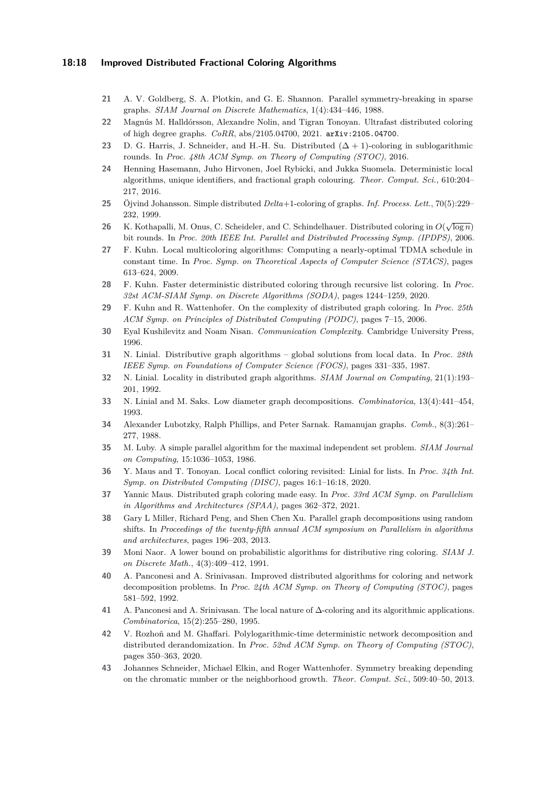### **18:18 Improved Distributed Fractional Coloring Algorithms**

- <span id="page-17-2"></span>**21** A. V. Goldberg, S. A. Plotkin, and G. E. Shannon. Parallel symmetry-breaking in sparse graphs. *SIAM Journal on Discrete Mathematics*, 1(4):434–446, 1988.
- <span id="page-17-8"></span>**22** Magnús M. Halldórsson, Alexandre Nolin, and Tigran Tonoyan. Ultrafast distributed coloring of high degree graphs. *CoRR*, abs/2105.04700, 2021. [arXiv:2105.04700](http://arxiv.org/abs/2105.04700).
- <span id="page-17-7"></span>**23** D. G. Harris, J. Schneider, and H.-H. Su. Distributed  $(∆ + 1)$ -coloring in sublogarithmic rounds. In *Proc. 48th ACM Symp. on Theory of Computing (STOC)*, 2016.
- <span id="page-17-17"></span>**24** Henning Hasemann, Juho Hirvonen, Joel Rybicki, and Jukka Suomela. Deterministic local algorithms, unique identifiers, and fractional graph colouring. *Theor. Comput. Sci.*, 610:204– 217, 2016.
- <span id="page-17-5"></span>**25** Öjvind Johansson. Simple distributed *Delta*+1-coloring of graphs. *Inf. Process. Lett.*, 70(5):229– 232, 1999.
- <span id="page-17-12"></span>**26** K. Kothapalli, M. Onus, C. Scheideler, and C. Schindelhauer. Distributed coloring in  $O(\sqrt{\log n})$ bit rounds. In *Proc. 20th IEEE Int. Parallel and Distributed Processing Symp. (IPDPS)*, 2006.
- <span id="page-17-16"></span>**27** F. Kuhn. Local multicoloring algorithms: Computing a nearly-optimal TDMA schedule in constant time. In *Proc. Symp. on Theoretical Aspects of Computer Science (STACS)*, pages 613–624, 2009.
- <span id="page-17-9"></span>**28** F. Kuhn. Faster deterministic distributed coloring through recursive list coloring. In *Proc. 32st ACM-SIAM Symp. on Discrete Algorithms (SODA)*, pages 1244–1259, 2020.
- <span id="page-17-3"></span>**29** F. Kuhn and R. Wattenhofer. On the complexity of distributed graph coloring. In *Proc. 25th ACM Symp. on Principles of Distributed Computing (PODC)*, pages 7–15, 2006.
- <span id="page-17-18"></span>**30** Eyal Kushilevitz and Noam Nisan. *Communication Complexity*. Cambridge University Press, 1996.
- <span id="page-17-0"></span>**31** N. Linial. Distributive graph algorithms – global solutions from local data. In *Proc. 28th IEEE Symp. on Foundations of Computer Science (FOCS)*, pages 331–335, 1987.
- <span id="page-17-20"></span>**32** N. Linial. Locality in distributed graph algorithms. *SIAM Journal on Computing*, 21(1):193– 201, 1992.
- <span id="page-17-15"></span>**33** N. Linial and M. Saks. Low diameter graph decompositions. *Combinatorica*, 13(4):441–454, 1993.
- <span id="page-17-21"></span>**34** Alexander Lubotzky, Ralph Phillips, and Peter Sarnak. Ramanujan graphs. *Comb.*, 8(3):261– 277, 1988.
- <span id="page-17-6"></span>**35** M. Luby. A simple parallel algorithm for the maximal independent set problem. *SIAM Journal on Computing*, 15:1036–1053, 1986.
- <span id="page-17-4"></span>**36** Y. Maus and T. Tonoyan. Local conflict coloring revisited: Linial for lists. In *Proc. 34th Int. Symp. on Distributed Computing (DISC)*, pages 16:1–16:18, 2020.
- <span id="page-17-13"></span>**37** Yannic Maus. Distributed graph coloring made easy. In *Proc. 33rd ACM Symp. on Parallelism in Algorithms and Architectures (SPAA)*, pages 362–372, 2021.
- <span id="page-17-22"></span>**38** Gary L Miller, Richard Peng, and Shen Chen Xu. Parallel graph decompositions using random shifts. In *Proceedings of the twenty-fifth annual ACM symposium on Parallelism in algorithms and architectures*, pages 196–203, 2013.
- <span id="page-17-1"></span>**39** Moni Naor. A lower bound on probabilistic algorithms for distributive ring coloring. *SIAM J. on Discrete Math.*, 4(3):409–412, 1991.
- <span id="page-17-10"></span>**40** A. Panconesi and A. Srinivasan. Improved distributed algorithms for coloring and network decomposition problems. In *Proc. 24th ACM Symp. on Theory of Computing (STOC)*, pages 581–592, 1992.
- <span id="page-17-14"></span>**41** A. Panconesi and A. Srinivasan. The local nature of ∆-coloring and its algorithmic applications. *Combinatorica*, 15(2):255–280, 1995.
- <span id="page-17-11"></span>**42** V. Rozhoň and M. Ghaffari. Polylogarithmic-time deterministic network decomposition and distributed derandomization. In *Proc. 52nd ACM Symp. on Theory of Computing (STOC)*, pages 350–363, 2020.
- <span id="page-17-19"></span>**43** Johannes Schneider, Michael Elkin, and Roger Wattenhofer. Symmetry breaking depending on the chromatic number or the neighborhood growth. *Theor. Comput. Sci.*, 509:40–50, 2013.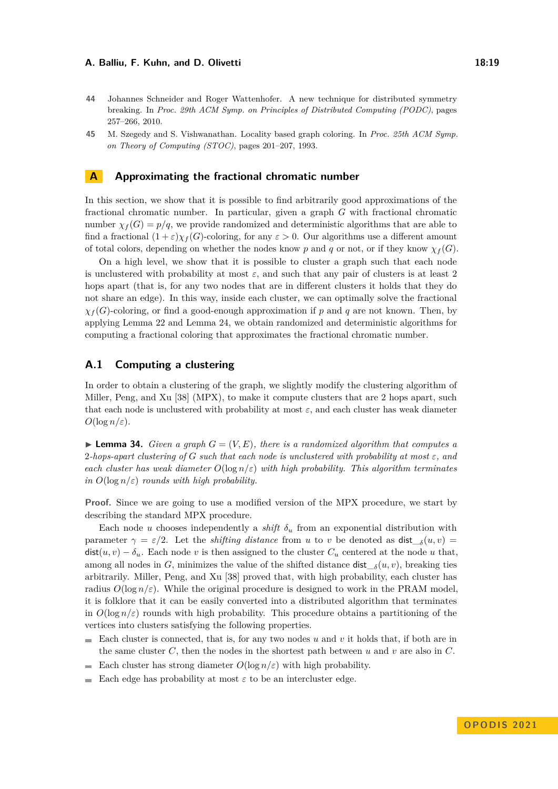257–266, 2010.

- <span id="page-18-1"></span>**44** Johannes Schneider and Roger Wattenhofer. A new technique for distributed symmetry breaking. In *Proc. 29th ACM Symp. on Principles of Distributed Computing (PODC)*, pages
- <span id="page-18-0"></span>**45** M. Szegedy and S. Vishwanathan. Locality based graph coloring. In *Proc. 25th ACM Symp. on Theory of Computing (STOC)*, pages 201–207, 1993.

### <span id="page-18-2"></span>**A Approximating the fractional chromatic number**

In this section, we show that it is possible to find arbitrarily good approximations of the fractional chromatic number. In particular, given a graph *G* with fractional chromatic number  $\chi_f(G) = p/q$ , we provide randomized and deterministic algorithms that are able to find a fractional  $(1 + \varepsilon)\chi_f(G)$ -coloring, for any  $\varepsilon > 0$ . Our algorithms use a different amount of total colors, depending on whether the nodes know p and q or not, or if they know  $\chi_f(G)$ .

On a high level, we show that it is possible to cluster a graph such that each node is unclustered with probability at most  $\varepsilon$ , and such that any pair of clusters is at least 2 hops apart (that is, for any two nodes that are in different clusters it holds that they do not share an edge). In this way, inside each cluster, we can optimally solve the fractional  $\chi_f(G)$ -coloring, or find a good-enough approximation if *p* and *q* are not known. Then, by applying Lemma [22](#page-7-2) and Lemma [24,](#page-8-0) we obtain randomized and deterministic algorithms for computing a fractional coloring that approximates the fractional chromatic number.

# **A.1 Computing a clustering**

In order to obtain a clustering of the graph, we slightly modify the clustering algorithm of Miller, Peng, and Xu [\[38\]](#page-17-22) (MPX), to make it compute clusters that are 2 hops apart, such that each node is unclustered with probability at most *ε*, and each cluster has weak diameter  $O(\log n/\varepsilon)$ .

<span id="page-18-3"></span> $\blacktriangleright$  **Lemma 34.** *Given a graph*  $G = (V, E)$ *, there is a randomized algorithm that computes a* 2-hops-apart clustering of G such that each node is unclustered with probability at most  $\varepsilon$ , and *each cluster has weak diameter*  $O(\log n/\varepsilon)$  *with high probability. This algorithm terminates in*  $O(\log n/\varepsilon)$  *rounds with high probability.* 

**Proof.** Since we are going to use a modified version of the MPX procedure, we start by describing the standard MPX procedure.

Each node *u* chooses independently a *shift*  $\delta_u$  from an exponential distribution with parameter  $\gamma = \varepsilon/2$ . Let the *shifting distance* from *u* to *v* be denoted as  $dist_{\delta}(u, v) =$  $dist(u, v) - \delta_u$ . Each node *v* is then assigned to the cluster  $C_u$  centered at the node *u* that, among all nodes in *G*, minimizes the value of the shifted distance dist  $_\delta(u, v)$ , breaking ties arbitrarily. Miller, Peng, and Xu [\[38\]](#page-17-22) proved that, with high probability, each cluster has radius  $O(\log n/\varepsilon)$ . While the original procedure is designed to work in the PRAM model, it is folklore that it can be easily converted into a distributed algorithm that terminates in  $O(\log n/\varepsilon)$  rounds with high probability. This procedure obtains a partitioning of the vertices into clusters satisfying the following properties.

- Each cluster is connected, that is, for any two nodes *u* and *v* it holds that, if both are in  $\blacksquare$ the same cluster  $C$ , then the nodes in the shortest path between  $u$  and  $v$  are also in  $C$ .
- Each cluster has strong diameter  $O(\log n/\varepsilon)$  with high probability.  $\sim$
- Each edge has probability at most  $\varepsilon$  to be an intercluster edge.  $\overline{\phantom{0}}$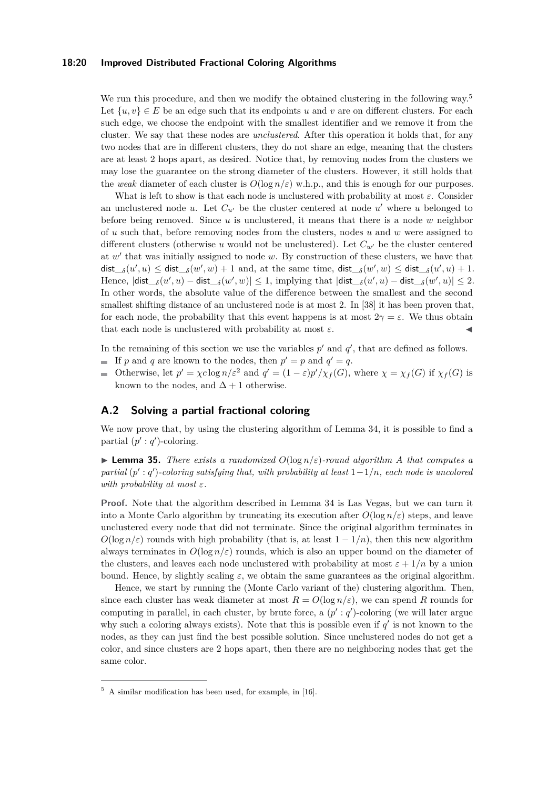### **18:20 Improved Distributed Fractional Coloring Algorithms**

We run this procedure, and then we modify the obtained clustering in the following way.<sup>[5](#page-19-0)</sup> Let  $\{u, v\} \in E$  be an edge such that its endpoints *u* and *v* are on different clusters. For each such edge, we choose the endpoint with the smallest identifier and we remove it from the cluster. We say that these nodes are *unclustered*. After this operation it holds that, for any two nodes that are in different clusters, they do not share an edge, meaning that the clusters are at least 2 hops apart, as desired. Notice that, by removing nodes from the clusters we may lose the guarantee on the strong diameter of the clusters. However, it still holds that the *weak* diameter of each cluster is  $O(\log n/\varepsilon)$  w.h.p., and this is enough for our purposes.

What is left to show is that each node is unclustered with probability at most *ε*. Consider an unclustered node  $u$ . Let  $C_{u'}$  be the cluster centered at node  $u'$  where  $u$  belonged to before being removed. Since *u* is unclustered, it means that there is a node *w* neighbor of *u* such that, before removing nodes from the clusters, nodes *u* and *w* were assigned to different clusters (otherwise *u* would not be unclustered). Let  $C_{w'}$  be the cluster centered at *w* ′ that was initially assigned to node *w*. By construction of these clusters, we have that  $\det_{\delta}(u', u) \leq \det_{\delta}(w', w) + 1$  and, at the same time,  $\det_{\delta}(w', w) \leq \det_{\delta}(u', u) + 1$ .  $\text{Hence, } |\textsf{dist}\_\delta(u',u) - \textsf{dist}\_\delta(w',w)| \leq 1, \text{ implying that } |\textsf{dist}\_\delta(u',u) - \textsf{dist}\_\delta(w',u)| \leq 2.$ In other words, the absolute value of the difference between the smallest and the second smallest shifting distance of an unclustered node is at most 2. In [\[38\]](#page-17-22) it has been proven that, for each node, the probability that this event happens is at most  $2\gamma = \varepsilon$ . We thus obtain that each node is unclustered with probability at most  $\varepsilon$ .

In the remaining of this section we use the variables  $p'$  and  $q'$ , that are defined as follows.

- If p and q are known to the nodes, then  $p' = p$  and  $q' = q$ .
- Otherwise, let  $p' = \chi c \log n / \varepsilon^2$  and  $q' = (1 \varepsilon)p' / \chi_f(G)$ , where  $\chi = \chi_f(G)$  if  $\chi_f(G)$  is known to the nodes, and  $\Delta + 1$  otherwise.

# **A.2 Solving a partial fractional coloring**

We now prove that, by using the clustering algorithm of Lemma [34,](#page-18-3) it is possible to find a partial  $(p' : q')$ -coloring.

<span id="page-19-1"></span> $\triangleright$  **Lemma 35.** *There exists a randomized*  $O(\log n/\varepsilon)$ *-round algorithm A that computes a partial* ( $p'$  :  $q'$ )-coloring satisfying that, with probability at least 1−1/n, each node is uncolored *with probability at most ε.*

**Proof.** Note that the algorithm described in Lemma [34](#page-18-3) is Las Vegas, but we can turn it into a Monte Carlo algorithm by truncating its execution after  $O(\log n/\varepsilon)$  steps, and leave unclustered every node that did not terminate. Since the original algorithm terminates in  $O(\log n/\epsilon)$  rounds with high probability (that is, at least  $1 - 1/n$ ), then this new algorithm always terminates in  $O(\log n/\varepsilon)$  rounds, which is also an upper bound on the diameter of the clusters, and leaves each node unclustered with probability at most  $\varepsilon + 1/n$  by a union bound. Hence, by slightly scaling  $\varepsilon$ , we obtain the same guarantees as the original algorithm.

Hence, we start by running the (Monte Carlo variant of the) clustering algorithm. Then, since each cluster has weak diameter at most  $R = O(\log n/\varepsilon)$ , we can spend *R* rounds for computing in parallel, in each cluster, by brute force, a  $(p': q')$ -coloring (we will later argue why such a coloring always exists). Note that this is possible even if  $q'$  is not known to the nodes, as they can just find the best possible solution. Since unclustered nodes do not get a color, and since clusters are 2 hops apart, then there are no neighboring nodes that get the same color.

<span id="page-19-0"></span><sup>5</sup> A similar modification has been used, for example, in [\[16\]](#page-16-18).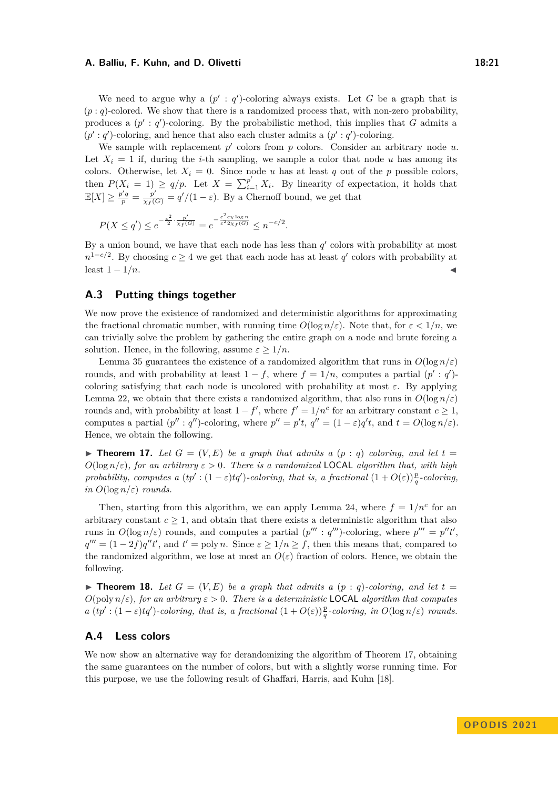We need to argue why a  $(p' : q')$ -coloring always exists. Let G be a graph that is  $(p: q)$ -colored. We show that there is a randomized process that, with non-zero probability, produces a  $(p' : q')$ -coloring. By the probabilistic method, this implies that *G* admits a  $(p': q')$ -coloring, and hence that also each cluster admits a  $(p': q')$ -coloring.

We sample with replacement  $p'$  colors from  $p$  colors. Consider an arbitrary node  $u$ . Let  $X_i = 1$  if, during the *i*-th sampling, we sample a color that node *u* has among its colors. Otherwise, let  $X_i = 0$ . Since node *u* has at least *q* out of the *p* possible colors, then  $P(X_i = 1) \ge q/p$ . Let  $X = \sum_{i=1}^{p'} X_i$ . By linearity of expectation, it holds that  $\mathbb{E}[X] \geq \frac{p'q}{p} = \frac{p'}{\chi_f(G)} = \frac{q'}{1-\varepsilon}$ . By a Chernoff bound, we get that

$$
P(X \le q') \le e^{-\frac{\varepsilon^2}{2} \cdot \frac{p'}{\chi_f(G)}} = e^{-\frac{\varepsilon^2 c_X \log n}{\varepsilon^2 2\chi_f(G)}} \le n^{-c/2}.
$$

By a union bound, we have that each node has less than  $q'$  colors with probability at most  $n^{1-c/2}$ . By choosing  $c \geq 4$  we get that each node has at least *q*' colors with probability at  $\text{least } 1 - 1/n.$ 

# **A.3 Putting things together**

We now prove the existence of randomized and deterministic algorithms for approximating the fractional chromatic number, with running time  $O(\log n/\varepsilon)$ . Note that, for  $\varepsilon < 1/n$ , we can trivially solve the problem by gathering the entire graph on a node and brute forcing a solution. Hence, in the following, assume  $\varepsilon > 1/n$ .

Lemma [35](#page-19-1) guarantees the existence of a randomized algorithm that runs in  $O(\log n/\varepsilon)$ rounds, and with probability at least  $1 - f$ , where  $f = 1/n$ , computes a partial  $(p' : q')$ coloring satisfying that each node is uncolored with probability at most  $\varepsilon$ . By applying Lemma [22,](#page-7-2) we obtain that there exists a randomized algorithm, that also runs in  $O(\log n/\varepsilon)$ rounds and, with probability at least  $1 - f'$ , where  $f' = 1/n^c$  for an arbitrary constant  $c \geq 1$ , computes a partial  $(p'' : q'')$ -coloring, where  $p'' = p't$ ,  $q'' = (1 - \varepsilon)q't$ , and  $t = O(\log n/\varepsilon)$ . Hence, we obtain the following.

 $\blacktriangleright$  **Theorem 17.** Let  $G = (V, E)$  be a graph that admits a  $(p : q)$  coloring, and let  $t =$  $O(\log n/\varepsilon)$ , for an arbitrary  $\varepsilon > 0$ . There is a randomized **LOCAL** algorithm that, with high *probability, computes a*  $(tp': (1 - \varepsilon)tq')$ *-coloring, that is, a fractional*  $(1 + O(\varepsilon))\frac{p}{q}$ -coloring, *in*  $O(\log n/\varepsilon)$  *rounds.* 

Then, starting from this algorithm, we can apply Lemma [24,](#page-8-0) where  $f = 1/n^c$  for an arbitrary constant  $c \geq 1$ , and obtain that there exists a deterministic algorithm that also runs in  $O(\log n/\varepsilon)$  rounds, and computes a partial  $(p''': q''')$ -coloring, where  $p''' = p''t'$ ,  $q''' = (1 - 2f)q''t'$ , and  $t' = \text{poly } n$ . Since  $\varepsilon \geq 1/n \geq f$ , then this means that, compared to the randomized algorithm, we lose at most an  $O(\varepsilon)$  fraction of colors. Hence, we obtain the following.

 $\blacktriangleright$  **Theorem 18.** Let  $G = (V, E)$  be a graph that admits a  $(p : q)$ -coloring, and let  $t =$  $O(\text{poly } n/\varepsilon)$ *, for an arbitrary*  $\varepsilon > 0$ *. There is a deterministic* LOCAL *algorithm that computes a*  $(tp': (1-\varepsilon)tq')$ -coloring, that is, a fractional  $(1+O(\varepsilon))\frac{p}{q}$ -coloring, in  $O(\log n/\varepsilon)$  rounds.

### **A.4 Less colors**

<span id="page-20-0"></span>We now show an alternative way for derandomizing the algorithm of Theorem [17,](#page-6-1) obtaining the same guarantees on the number of colors, but with a slightly worse running time. For this purpose, we use the following result of Ghaffari, Harris, and Kuhn [\[18\]](#page-16-19).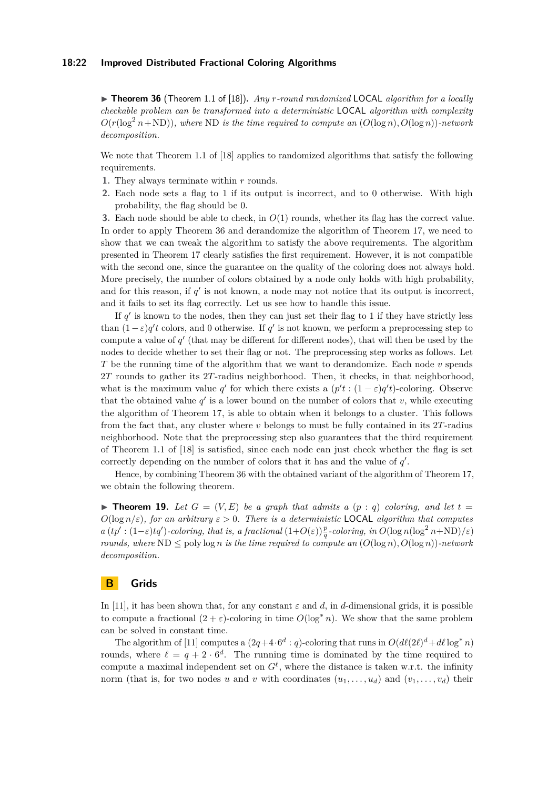▶ **Theorem 36** (Theorem 1.1 of [\[18\]](#page-16-19))**.** *Any r-round randomized* LOCAL *algorithm for a locally checkable problem can be transformed into a deterministic* LOCAL *algorithm with complexity*  $O(r(\log^2 n + ND))$ *, where* ND *is the time required to compute an*  $(O(\log n), O(\log n))$ *-network decomposition.*

We note that Theorem 1.1 of [\[18\]](#page-16-19) applies to randomized algorithms that satisfy the following requirements.

- **1.** They always terminate within *r* rounds.
- **2.** Each node sets a flag to 1 if its output is incorrect, and to 0 otherwise. With high probability, the flag should be 0.

**3.** Each node should be able to check, in *O*(1) rounds, whether its flag has the correct value. In order to apply Theorem [36](#page-20-0) and derandomize the algorithm of Theorem [17,](#page-6-1) we need to show that we can tweak the algorithm to satisfy the above requirements. The algorithm presented in Theorem [17](#page-6-1) clearly satisfies the first requirement. However, it is not compatible with the second one, since the guarantee on the quality of the coloring does not always hold. More precisely, the number of colors obtained by a node only holds with high probability, and for this reason, if  $q'$  is not known, a node may not notice that its output is incorrect, and it fails to set its flag correctly. Let us see how to handle this issue.

If  $q'$  is known to the nodes, then they can just set their flag to 1 if they have strictly less than  $(1 - \varepsilon)q'$ t colors, and 0 otherwise. If *q'* is not known, we perform a preprocessing step to compute a value of  $q'$  (that may be different for different nodes), that will then be used by the nodes to decide whether to set their flag or not. The preprocessing step works as follows. Let *T* be the running time of the algorithm that we want to derandomize. Each node *v* spends 2*T* rounds to gather its 2*T*-radius neighborhood. Then, it checks, in that neighborhood, what is the maximum value *q'* for which there exists a  $(p't:(1-\varepsilon)q't)$ -coloring. Observe that the obtained value  $q'$  is a lower bound on the number of colors that  $v$ , while executing the algorithm of Theorem [17,](#page-6-1) is able to obtain when it belongs to a cluster. This follows from the fact that, any cluster where *v* belongs to must be fully contained in its 2*T*-radius neighborhood. Note that the preprocessing step also guarantees that the third requirement of Theorem 1.1 of [\[18\]](#page-16-19) is satisfied, since each node can just check whether the flag is set correctly depending on the number of colors that it has and the value of  $q'$ .

Hence, by combining Theorem [36](#page-20-0) with the obtained variant of the algorithm of Theorem [17,](#page-6-1) we obtain the following theorem.

 $\blacktriangleright$  **Theorem 19.** Let  $G = (V, E)$  be a graph that admits a  $(p : q)$  coloring, and let  $t =$  $O(\log n/\varepsilon)$ *, for an arbitrary*  $\varepsilon > 0$ *. There is a deterministic* LOCAL *algorithm that computes*  $a (tp': (1-\varepsilon)tq')$ -coloring, that is, a fractional  $(1+O(\varepsilon))\frac{p}{q}$ -coloring, in  $O(\log n(\log^2 n + ND)/\varepsilon)$ *rounds, where*  $ND \leq poly\log n$  *is the time required to compute an*  $(O(\log n), O(\log n))$ *-network decomposition.*

### <span id="page-21-0"></span>**B Grids**

In [\[11\]](#page-16-15), it has been shown that, for any constant  $\varepsilon$  and  $d$ , in  $d$ -dimensional grids, it is possible to compute a fractional  $(2 + \varepsilon)$ -coloring in time  $O(\log^* n)$ . We show that the same problem can be solved in constant time.

The algorithm of [\[11\]](#page-16-15) computes a  $(2q+4\cdot 6^d: q)$ -coloring that runs in  $O(d\ell(2\ell)^d+d\ell \log^* n)$ rounds, where  $\ell = q + 2 \cdot 6^d$ . The running time is dominated by the time required to compute a maximal independent set on  $G^{\ell}$ , where the distance is taken w.r.t. the infinity norm (that is, for two nodes *u* and *v* with coordinates  $(u_1, \ldots, u_d)$  and  $(v_1, \ldots, v_d)$  their